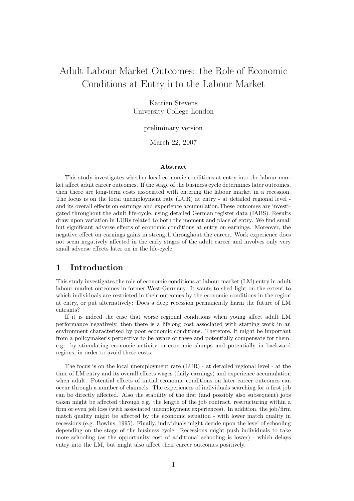# Adult Labour Market Outcomes: the Role of Economic Conditions at Entry into the Labour Market

Katrien Stevens University College London

### preliminary version

March 22, 2007

#### Abstract

This study investigates whether local economic conditions at entry into the labour market affect adult career outcomes. If the stage of the business cycle determines later outcomes, then there are long-term costs associated with entering the labour market in a recession. The focus is on the local unemployment rate (LUR) at entry - at detailed regional level and its overall effects on earnings and experience accumulation.These outcomes are investigated throughout the adult life-cycle, using detailed German register data (IABS). Results draw upon variation in LURs related to both the moment and place of entry. We find small but significant adverse effects of economic conditions at entry on earnings. Moreover, the negative effect on earnings gains in strength throughout the career. Work experience does not seem negatively affected in the early stages of the adult career and involves only very small adverse effects later on in the life-cycle.

## 1 Introduction

This study investigates the role of economic conditions at labour market (LM) entry in adult labour market outcomes in former West-Germany. It wants to shed light on the extent to which individuals are restricted in their outcomes by the economic conditions in the region at entry, or put alternatively: Does a deep recession permanently harm the future of LM entrants?

If it is indeed the case that worse regional conditions when young affect adult LM performance negatively, then there is a lifelong cost associated with starting work in an environment characterised by poor economic conditions. Therefore, it might be important from a policymaker's perpective to be aware of these and potentially compensate for them: e.g. by stimulating economic activity in economic slumps and potentially in backward regions, in order to avoid these costs.

The focus is on the local unemployment rate (LUR) - at detailed regional level - at the time of LM entry and its overall effects wages (daily earnings) and experience accumulation when adult. Potential effects of initial economic conditions on later career outcomes can occur through a number of channels. The experiences of individuals searching for a first job can be directly affected. Also the stability of the first (and possibly also subsequent) jobs taken might be affected through e.g. the length of the job contract, restructuring within a firm or even job loss (with associated unemployment experiences). In addition, the job/firm match quality might be affected by the economic situation - with lower match quality in recessions (e.g. Bowlus, 1995). Finally, individuals might decide upon the level of schooling depending on the stage of the business cycle. Recessions might push individuals to take more schooling (as the opportunity cost of additional schooling is lower) - which delays entry into the LM, but might also affect their career outcomes positively.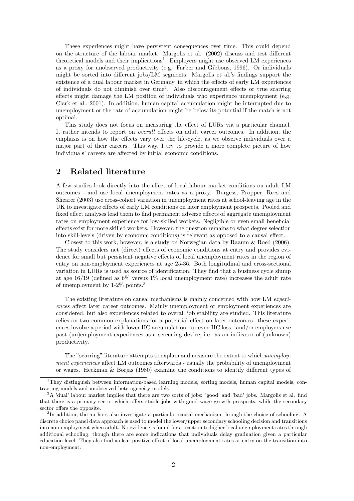These experiences might have persistent consequences over time. This could depend on the structure of the labour market. Margolis et al. (2002) discuss and test different theoretical models and their implications<sup>1</sup>. Employers might use observed LM experiences as a proxy for unobserved productivity (e.g. Farber and Gibbons, 1996). Or individuals might be sorted into different jobs/LM segments: Margolis et al.'s findings support the existence of a dual labour market in Germany, in which the effects of early LM experiences of individuals do not diminish over time<sup>2</sup> . Also discouragement effects or true scarring effects might damage the LM position of individuals who experience unemployment (e.g. Clark et al., 2001). In addition, human capital accumulation might be interrupted due to unemployment or the rate of accumulation might be below its potential if the match is not optimal.

This study does not focus on measuring the effect of LURs via a particular channel. It rather intends to report on overall effects on adult career outcomes. In addition, the emphasis is on how the effects vary over the life-cycle, as we observe individuals over a major part of their careers. This way, I try to provide a more complete picture of how individuals' careers are affected by initial economic conditions.

## 2 Related literature

A few studies look directly into the effect of local labour market conditions on adult LM outcomes - and use local unemployment rates as a proxy. Burgess, Propper, Rees and Shearer (2003) use cross-cohort variation in unemployment rates at school-leaving age in the UK to investigate effects of early LM conditions on later employment prospects. Pooled and fixed effect analyses lead them to find permanent adverse effects of aggregate unemployment rates on employment experience for low-skilled workers. Negligible or even small beneficial effects exist for more skilled workers. However, the question remains to what degree selection into skill-levels (driven by economic conditions) is relevant as opposed to a causal effect.

Closest to this work, however, is a study on Norwegian data by Raaum & Roed (2006). The study considers net (direct) effects of economic conditions at entry and provides evidence for small but persistent negative effects of local unemployment rates in the region of entry on non-employment experiences at age 25-36. Both longitudinal and cross-sectional variation in LURs is used as source of identification. They find that a business cycle slump at age 16/19 (defined as 6% versus 1% local unemployment rate) increases the adult rate of unemployment by 1-2% points.<sup>3</sup>

The existing literature on causal mechanisms is mainly concerned with how LM experiences affect later career outcomes. Mainly unemployment or employment experiences are considered, but also experiences related to overall job stability are studied. This literature relies on two common explanations for a potential effect on later outcomes: these experiences involve a period with lower HC accumulation - or even HC loss - and/or employers use past (un)employment experiences as a screening device, i.e. as an indicator of (unknown) productivity.

The "scarring" literature attempts to explain and measure the extent to which *unemploy*ment experiences affect LM outcomes afterwards - usually the probability of unemployment or wages. Heckman & Borjas (1980) examine the conditions to identify different types of

<sup>&</sup>lt;sup>1</sup>They distinguish between information-based learning models, sorting models, human capital models, contracting models and unobserved heterogeneity models

<sup>&</sup>lt;sup>2</sup>A 'dual' labour market implies that there are two sorts of jobs: 'good' and 'bad' jobs. Margolis et al. find that there is a primary sector which offers stable jobs with good wage growth prospects, while the secondary sector offers the opposite.

<sup>&</sup>lt;sup>3</sup>In addition, the authors also investigate a particular causal mechanism through the choice of schooling. A discrete choice panel data approach is used to model the lower/upper secondary schooling decision and transitions into non-employment when adult. No evidence is found for a reaction to higher local unemployment rates through additional schooling, though there are some indications that individuals delay graduation given a particular education level. They also find a clear positive effect of local unemployment rates at entry on the transition into non-employment.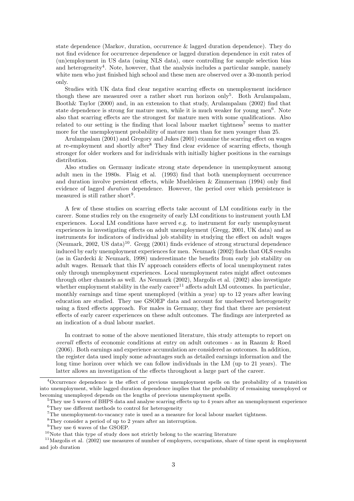state dependence (Markov, duration, occurrence & lagged duration dependence). They do not find evidence for occurrence dependence or lagged duration dependence in exit rates of (un)employment in US data (using NLS data), once controlling for sample selection bias and heterogeneity<sup>4</sup>. Note, however, that the analysis includes a particular sample, namely white men who just finished high school and these men are observed over a 30-month period only.

Studies with UK data find clear negative scarring effects on unemployment incidence though these are measured over a rather short run horizon only<sup>5</sup>. Both Arulampalam, Booth& Taylor (2000) and, in an extension to that study, Arulampalam (2002) find that state dependence is strong for mature men, while it is much weaker for young men<sup>6</sup>. Note also that scarring effects are the strongest for mature men with some qualifications. Also related to our setting is the finding that local labour market tightness<sup>7</sup> seems to matter more for the unemployment probability of mature men than for men younger than 25.

Arulampalam (2001) and Gregory and Jukes (2001) examine the scarring effect on wages at re-employment and shortly after<sup>8</sup> They find clear evidence of scarring effects, though stronger for older workers and for individuals with initially higher positions in the earnings distribution.

Also studies on Germany indicate strong state dependence in unemployment among adult men in the 1980s. Flaig et al. (1993) find that both unemployment occurrence and duration involve persistent effects, while Muehleisen & Zimmerman (1994) only find evidence of lagged *duration* dependence. However, the period over which persistence is measured is still rather short<sup>9</sup>.

A few of these studies on scarring effects take account of LM conditions early in the career. Some studies rely on the exogeneity of early LM conditions to instrument youth LM experiences. Local LM conditions have served e.g. to instrument for early unemployment experiences in investigating effects on adult unemployment (Gregg, 2001, UK data) and as instruments for indicators of individual job stability in studying the effect on adult wages (Neumark, 2002, US data)<sup>10</sup>. Gregg (2001) finds evidence of strong structural dependence induced by early unemployment experiences for men. Neumark (2002) finds that OLS results (as in Gardecki & Neumark, 1998) underestimate the benefits from early job stability on adult wages. Remark that this IV approach considers effects of local unemployment rates only through unemployment experiences. Local unemployment rates might affect outcomes through other channels as well. As Neumark (2002), Margolis et al. (2002) also investigate whether employment stability in the early career<sup>11</sup> affects adult LM outcomes. In particular, monthly earnings and time spent unemployed (within a year) up to 12 years after leaving education are studied. They use GSOEP data and account for unobserved heterogeneity using a fixed effects approach. For males in Germany, they find that there are persistent effects of early career experiences on these adult outcomes. The findings are interpreted as an indication of a dual labour market.

In contrast to some of the above mentioned literature, this study attempts to report on overall effects of economic conditions at entry on adult outcomes - as in Raaum & Roed (2006). Both earnings and experience accumulation are considered as outcomes. In addition, the register data used imply some advantages such as detailed earnings information and the long time horizon over which we can follow individuals in the LM (up to 21 years). The latter allows an investigation of the effects throughout a large part of the career.

<sup>4</sup>Occurrence dependence is the effect of previous unemployment spells on the probability of a transition into unemployment, while lagged duration dependence implies that the probability of remaining unemployed or becoming unemployed depends on the lengths of previous unemployment spells.

<sup>5</sup>They use 5 waves of BHPS data and analyse scarring effects up to 4 years after an unemployment experience  $\rm^6$  They use different methods to control for heterogeneity

 $7$ The unemployment-to-vacancy rate is used as a measure for local labour market tightness.

 ${}^{8}$ They consider a period of up to 2 years after an interruption.

<sup>&</sup>lt;sup>9</sup>They use 6 waves of the GSOEP.

 $10$ Note that this type of study does not strictly belong to the scarring literature

<sup>&</sup>lt;sup>11</sup>Margolis et al. (2002) use measures of number of employers, occupations, share of time spent in employment and job duration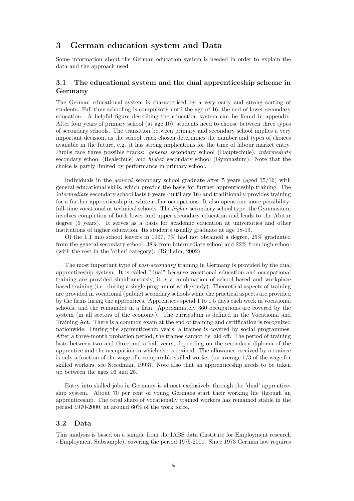## 3 German education system and Data

Some information about the German education system is needed in order to explain the data and the approach used.

### 3.1 The educational system and the dual apprenticeship scheme in Germany

The German educational system is characterised by a very early and strong sorting of students. Full-time schooling is compulsory until the age of 16, the end of lower secondary education. A helpful figure describing the education system can be found in appendix. After four years of primary school (at age 10), students need to choose between three types of secondary schools. The transition between primary and secondary school implies a very important decision, as the school track chosen determines the number and types of choices available in the future, e.g. it has strong implications for the time of labour market entry. Pupils face three possible tracks: general secondary school (Hauptschule), intermediate secondary school (Realschule) and higher secondary school (Gymnasium). Note that the choice is partly limited by performance in primary school.

Individuals in the *general* secondary school graduate after 5 years (aged 15/16) with general educational skills, which provide the basis for further apprenticeship training. The intermediate secondary school lasts 6 years (until age 16) and traditionally provides training for a further apprenticeship in white-collar occupations. It also opens one more possibility: full-time vocational or technical schools. The *higher* secondary school type, the Gymnasium, involves completion of both lower and upper secondary education and leads to the Abitur degree (9 years). It serves as a basis for academic education at universities and other institutions of higher education. Its students usually graduate at age 18-19.

Of the 1.1 mio school leavers in 1997, 7% had not obtained a degree, 25% graduated from the general secondary school, 38% from intermediate school and 22% from high school (with the rest in the 'other' category). (Riphahn, 2002)

The most important type of *post-secondary* training in Germany is provided by the dual apprenticeship system. It is called "dual" because vocational education and occupational training are provided simultaneously, it is a combination of school based and workplace based training (i.e., during a single program of work/study). Theoretical aspects of training are provided in vocational (public) secondary schools while the practical aspects are provided by the firms hiring the apprentices. Apprentices spend 1 to 1.5 days each week in vocational schools, and the remainder in a firm. Approximately 360 occupations are covered by the system (in all sectors of the economy). The curriculum is defined in the Vocational and Training Act. There is a common exam at the end of training and certification is recognized nationwide. During the apprenticeship years, a trainee is covered by social programmes. After a three-month probation period, the trainee cannot be laid off. The period of training lasts between two and three and a half years, depending on the secondary diploma of the apprentice and the occupation in which she is trained. The allowance received by a trainee is only a fraction of the wage of a comparable skilled worker (on average 1/3 of the wage for skilled workers, see Steedman, 1993). Note also that an apprenticeship needs to be taken up between the ages 16 and 25.

Entry into skilled jobs in Germany is almost exclusively through the 'dual' apprenticeship system. About 70 per cent of young Germans start their working life through an apprenticeship. The total share of vocationally trained workers has remained stable in the period 1970-2000, at around 60% of the work force.

### 3.2 Data

This analysis is based on a sample from the IABS data (Institute for Employment research - Employment Subsample), covering the period 1975-2001. Since 1973 German law requires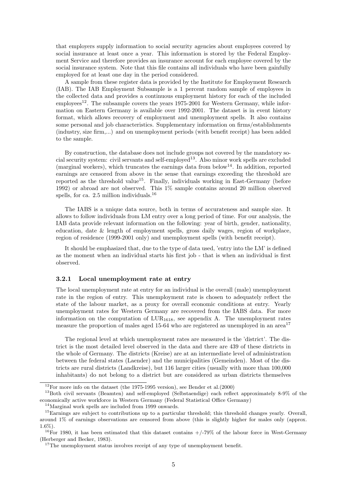that employers supply information to social security agencies about employees covered by social insurance at least once a year. This information is stored by the Federal Employment Service and therefore provides an insurance account for each employee covered by the social insurance system. Note that this file contains all individuals who have been gainfully employed for at least one day in the period considered.

A sample from these register data is provided by the Institute for Employment Research (IAB). The IAB Employment Subsample is a 1 percent random sample of employees in the collected data and provides a continuous employment history for each of the included  $emploves<sup>12</sup>$ . The subsample covers the years 1975-2001 for Western Germany, while information on Eastern Germany is available over 1992-2001. The dataset is in event history format, which allows recovery of employment and unemployment spells. It also contains some personal and job characteristics. Supplementary information on firms/establishments (industry, size firm,...) and on unemployment periods (with benefit receipt) has been added to the sample.

By construction, the database does not include groups not covered by the mandatory social security system: civil servants and self-employed<sup>13</sup>. Also minor work spells are excluded (marginal workers), which truncates the earnings data from below<sup>14</sup>. In addition, reported earnings are censored from above in the sense that earnings exceeding the threshold are reported as the threshold value<sup>15</sup>. Finally, individuals working in East-Germany (before 1992) or abroad are not observed. This 1% sample contains around 20 million observed spells, for ca.  $2.5$  million individuals.<sup>16</sup>

The IABS is a unique data source, both in terms of accurateness and sample size. It allows to follow individuals from LM entry over a long period of time. For our analysis, the IAB data provide relevant information on the following: year of birth, gender, nationality, education, date & length of employment spells, gross daily wages, region of workplace, region of residence (1999-2001 only) and unemployment spells (with benefit receipt).

It should be emphasized that, due to the type of data used, 'entry into the LM' is defined as the moment when an individual starts his first job - that is when an individual is first observed.

#### 3.2.1 Local unemployment rate at entry

The local unemployment rate at entry for an individual is the overall (male) unemployment rate in the region of entry. This unemployment rate is chosen to adequately reflect the state of the labour market, as a proxy for overall economic conditions at entry. Yearly unemployment rates for Western Germany are recovered from the IABS data. For more information on the computation of  $LUR_{1618}$ , see appendix A. The unemployment rates measure the proportion of males aged 15-64 who are registered as unemployed in an area<sup>17</sup>

The regional level at which unemployment rates are measured is the 'district'. The district is the most detailed level observed in the data and there are 439 of these districts in the whole of Germany. The districts (Kreise) are at an intermediate level of administration between the federal states (Laender) and the municipalities (Gemeinden). Most of the districts are rural districts (Landkreise), but 116 larger cities (usually with more than 100,000 inhabitants) do not belong to a district but are considered as urban districts themselves

 $^{14}\rm{Marginal}$  work spells are included from 1999 onwards.

 $12$ For more info on the dataset (the 1975-1995 version), see Bender et al.(2000)

<sup>13</sup>Both civil servants (Beamten) and self-employed (Selbstaendige) each reflect approximately 8-9% of the economically active workforce in Western Germany (Federal Statistical Office Germany)

<sup>&</sup>lt;sup>15</sup>Earnings are subject to contributions up to a particular threshold; this threshold changes yearly. Overall, around 1% of earnings observations are censored from above (this is slightly higher for males only (approx. 1.6%).

<sup>&</sup>lt;sup>16</sup>For 1980, it has been estimated that this dataset contains  $+/-79\%$  of the labour force in West-Germany (Herberger and Becker, 1983).

 $17$ The unemployment status involves receipt of any type of unemployment benefit.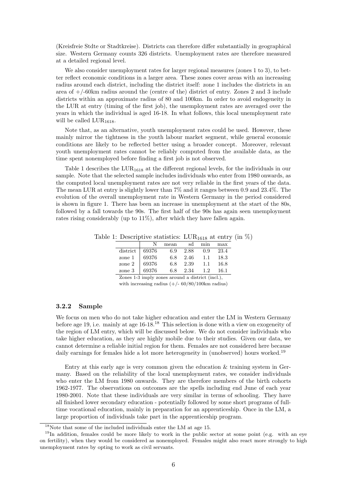(Kreisfreie Stdte or Stadtkreise). Districts can therefore differ substantially in geographical size. Western Germany counts 326 districts. Unemployment rates are therefore measured at a detailed regional level.

We also consider unemployment rates for larger regional measures (zones 1 to 3), to better reflect economic conditions in a larger area. These zones cover areas with an increasing radius around each district, including the district itself: zone 1 includes the districts in an area of +/-60km radius around the (centre of the) district of entry. Zones 2 and 3 include districts within an approximate radius of 80 and 100km. In order to avoid endogeneity in the LUR at entry (timing of the first job), the unemployment rates are averaged over the years in which the individual is aged 16-18. In what follows, this local unemployment rate will be called  $LUR_{1618}$ .

Note that, as an alternative, youth unemployment rates could be used. However, these mainly mirror the tightness in the youth labour market segment, while general economic conditions are likely to be reflected better using a broader concept. Moreover, relevant youth unemployment rates cannot be reliably computed from the available data, as the time spent nonemployed before finding a first job is not observed.

Table 1 describes the LUR<sub>1618</sub> at the different regional levels, for the individuals in our sample. Note that the selected sample includes individuals who enter from 1980 onwards, as the computed local unemployment rates are not very reliable in the first years of the data. The mean LUR at entry is slightly lower than 7% and it ranges between 0.9 and 23.4%. The evolution of the overall unemployment rate in Western Germany in the period considered is shown in figure 1. There has been an increase in unemployment at the start of the 80s, followed by a fall towards the 90s. The first half of the 90s has again seen unemployment rates rising considerably (up to 11%), after which they have fallen again.

Table 1: Descriptive statistics: LUR<sub>1618</sub> at entry (in  $\%$ )

|          | N     | mean | sd   | min | max  |
|----------|-------|------|------|-----|------|
| district | 69376 | 6.9  | 2.88 | 0.9 | 23.4 |
| zone 1   | 69376 | 6.8  | 2.46 | 1.1 | 18.3 |
| zone 2   | 69376 | 6.8  | 2.39 | 1.1 | 16.8 |
| zone 3   | 69376 | 6.8  | 2.34 | 1.2 | 16.1 |
|          |       |      |      |     |      |

Zones 1-3 imply zones around a district (incl.), with increasing radius  $(+/- 60/80/100 \text{km} \text{ radius})$ 

#### 3.2.2 Sample

We focus on men who do not take higher education and enter the LM in Western Germany before age 19, i.e. mainly at age 16-18.<sup>18</sup> This selection is done with a view on exogeneity of the region of LM entry, which will be discussed below. We do not consider individuals who take higher education, as they are highly mobile due to their studies. Given our data, we cannot determine a reliable initial region for them. Females are not considered here because daily earnings for females hide a lot more heterogeneity in (unobserved) hours worked.<sup>19</sup>

Entry at this early age is very common given the education & training system in Germany. Based on the reliability of the local unemployment rates, we consider individuals who enter the LM from 1980 onwards. They are therefore members of the birth cohorts 1962-1977. The observations on outcomes are the spells including end June of each year 1980-2001. Note that these individuals are very similar in terms of schooling. They have all finished lower secondary education - potentially followed by some short programs of fulltime vocational education, mainly in preparation for an apprenticeship. Once in the LM, a large proportion of individuals take part in the apprenticeship program.

 $18$ Note that some of the included individuals enter the LM at age 15.

<sup>&</sup>lt;sup>19</sup>In addition, females could be more likely to work in the public sector at some point (e.g. with an eye on fertility), when they would be considered as nonemployed. Females might also react more strongly to high unemployment rates by opting to work as civil servants.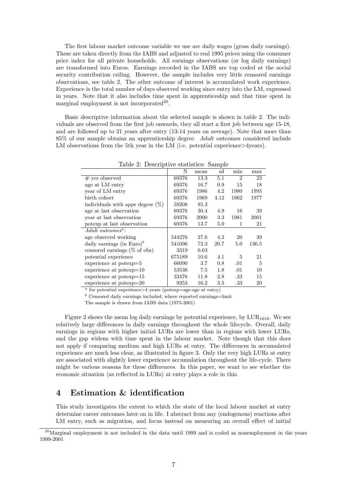The first labour market outcome variable we use are daily wages (gross daily earnings). These are taken directly from the IABS and adjusted to real 1995 prices using the consumer price index for all private households. All earnings observations (or log daily earnings) are transformed into Euros. Earnings recorded in the IABS are top coded at the social security contribution ceiling. However, the sample includes very little censored earnings observations, see table 2. The other outcome of interest is accumulated work experience. Experience is the total number of days observed working since entry into the LM, expressed in years. Note that it also includes time spent in apprenticeship and that time spent in marginal employment is not incorporated  $20$ .

Basic descriptive information about the selected sample is shown in table 2. The individuals are observed from the first job onwards, they all start a first job between age 15-18, and are followed up to 21 years after entry (13-14 years on average). Note that more than 85% of our sample obtains an apprenticeship degree. Adult outcomes considered include LM observations from the 5th year in the LM (i.e. potential experience>4years).

|                                       | N      | mean | sd   | min  | max   |
|---------------------------------------|--------|------|------|------|-------|
| $#$ yrs observed                      | 69376  | 13.3 | 5.1  | 2    | 23    |
| age at LM entry                       | 69376  | 16.7 | 0.9  | 15   | 18    |
| year of LM entry                      | 69376  | 1986 | 4.2  | 1980 | 1995  |
| birth cohort                          | 69376  | 1969 | 4.12 | 1962 | 1977  |
| individuals with appr degree $(\%)$   | 59208  | 85.3 |      |      |       |
| age at last observation               | 69376  | 30.4 | 4.9  | 16   | 39    |
| year at last observation              | 69376  | 2000 | 3.3  | 1981 | 2001  |
| potexp at last observation            | 69376  | 13.7 | 5.0  | 1    | 21    |
| $Adult\ outcomes^a$ :                 |        |      |      |      |       |
| age observed working                  | 544276 | 27.6 | 4.2  | 20   | 39    |
| daily earnings (in Euro) <sup>b</sup> | 541096 | 72.3 | 20.7 | 5.0  | 136.5 |
| censored earnings $(\%$ of obs)       | 3319   | 0.63 |      |      |       |
| potential experience                  | 675189 | 10.6 | 4.1  | 5    | 21    |
| experience at potexp=5                | 66090  | 3.7  | 0.8  | .01  | 5     |
| experience at potexp=10               | 53538  | 7.5  | 1.8  | .01  | 10    |
| experience at potexp=15               | 33476  | 11.8 | 2.8  | .33  | 15    |
| experience at potexp=20               | 9353   | 16.2 | 3.5  | .33  | 20    |

Table 2: Descriptive statistics: Sample

 $\frac{a}{a}$  for potential experience  $>4$  years (potexp=age-age at entry)

 $<sup>b</sup>$  Censored daily earnings included, where reported earnings=limit</sup>

The sample is drawn from IABS data (1975-2001)

Figure 2 shows the mean log daily earnings by potential experience, by  $LUR_{1618}$ . We see relatively large differences in daily earnings throughout the whole lifecycle. Overall, daily earnings in regions with higher initial LURs are lower than in regions with lower LURs, and the gap widens with time spent in the labour market. Note though that this does not apply if comparing medium and high LURs at entry. The differences in accumulated experience are much less clear, as illustrated in figure 3. Only the very high LURs at entry are associated with slightly lower experience accumulation throughout the life-cycle. There might be various reasons for these differences. In this paper, we want to see whether the economic situation (as reflected in LURs) at entry plays a role in this.

## 4 Estimation & identification

This study investigates the extent to which the state of the local labour market at entry determine career outcomes later on in life. I abstract from any (endogenous) reactions after LM entry, such as migration, and focus instead on measuring an overall effect of initial

 $20$ Marginal employment is not included in the data until 1999 and is coded as nonemployment in the years 1999-2001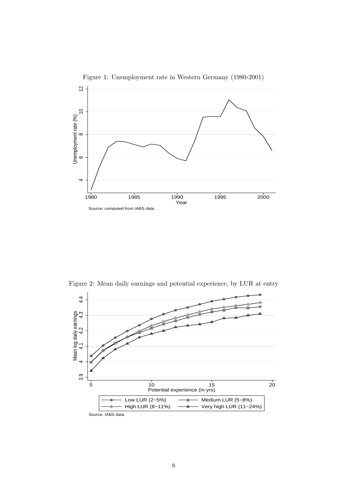

Figure 1: Unemployment rate in Western Germany (1980-2001)

Figure 2: Mean daily earnings and potential experience, by LUR at entry

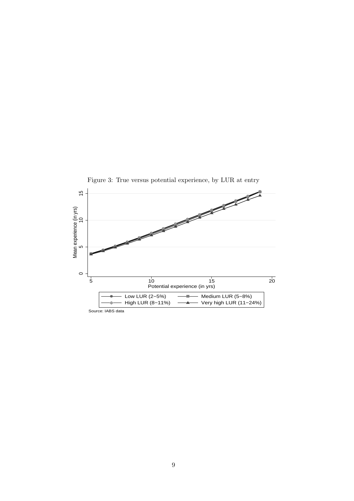

9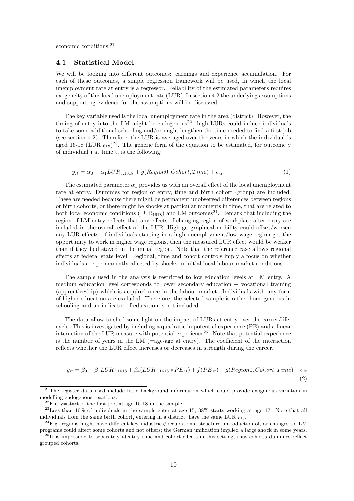economic conditions.<sup>21</sup>

#### 4.1 Statistical Model

We will be looking into different outcomes: earnings and experience accumulation. For each of these outcomes, a simple regression framework will be used, in which the local unemployment rate at entry is a regressor. Reliability of the estimated parameters requires exogeneity of this local unemployment rate (LUR). In section 4.2 the underlying assumptions and supporting evidence for the assumptions will be discussed.

The key variable used is the local unemployment rate in the area (district). However, the timing of entry into the LM might be endogenous<sup>22</sup>: high LURs could induce individuals to take some additional schooling and/or might lengthen the time needed to find a first job (see section 4.2). Therefore, the LUR is averaged over the years in which the individual is aged 16-18 ( $LUR_{1618}$ )<sup>23</sup>. The generic form of the equation to be estimated, for outcome y of individual i at time t, is the following:

$$
y_{it} = \alpha_0 + \alpha_1 LUR_{i,1618} + g(Region0, Cohort, Time) + \epsilon_{it}
$$
\n
$$
\tag{1}
$$

The estimated parameter  $\alpha_1$  provides us with an overall effect of the local unemployment rate at entry. Dummies for region of entry, time and birth cohort (group) are included. These are needed because there might be permanent unobserved differences between regions or birth cohorts, or there might be shocks at particular moments in time, that are related to both local economic conditions ( $LUR_{1618}$ ) and LM outcomes<sup>24</sup>. Remark that including the region of LM entry reflects that any effects of changing region of workplace after entry are included in the overall effect of the LUR. High geographical mobility could offset/worsen any LUR effects: if individuals starting in a high unemployment/low wage region get the opportunity to work in higher wage regions, then the measured LUR effect would be weaker than if they had stayed in the initial region. Note that the reference case allows regional effects at federal state level. Regional, time and cohort controls imply a focus on whether individuals are permanently affected by shocks in initial local labour market conditions.

The sample used in the analysis is restricted to low education levels at LM entry. A medium education level corresponds to lower secondary education  $+$  vocational training (apprenticeship) which is acquired once in the labour market. Individuals with any form of higher education are excluded. Therefore, the selected sample is rather homogeneous in schooling and an indicator of education is not included.

The data allow to shed some light on the impact of LURs at entry over the career/lifecycle. This is investigated by including a quadratic in potential experience (PE) and a linear interaction of the LUR measure with potential experience<sup>25</sup>. Note that potential experience is the number of years in the LM  $(=\text{age-age at entry})$ . The coefficient of the interaction reflects whether the LUR effect increases or decreases in strength during the career.

$$
y_{it} = \beta_0 + \beta_1 LUR_{i,1618} + \beta_4 (LUR_{i,1618} * PE_{it}) + f(PE_{it}) + g(Region0, Cohort, Time) + \epsilon_{it}
$$
  
(2)

<sup>&</sup>lt;sup>21</sup>The register data used include little background information which could provide exogenous variation in modelling endogenous reactions.

 $22$ Entry=start of the first job, at age 15-18 in the sample.

<sup>23</sup>Less than 10% of individuals in the sample enter at age 15, 38% starts working at age 17. Note that all individuals from the same birth cohort, entering in a district, have the same  $LUR_{1618}$ .

 $^{24}$ E.g. regions might have different key industries/occupational structure; introduction of, or changes to, LM programs could affect some cohorts and not others; the German unification implied a large shock in some years.

 $^{25}$ It is impossible to separately identify time and cohort effects in this setting, thus cohorts dummies reflect grouped cohorts.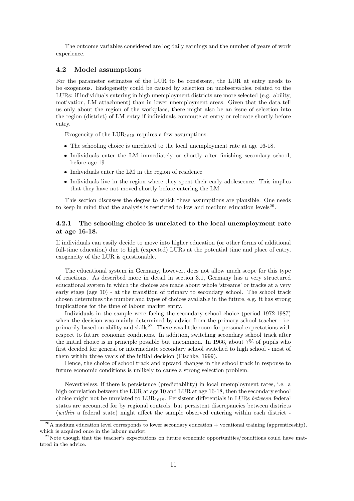The outcome variables considered are log daily earnings and the number of years of work experience.

#### 4.2 Model assumptions

For the parameter estimates of the LUR to be consistent, the LUR at entry needs to be exogenous. Endogeneity could be caused by selection on unobservables, related to the LURs: if individuals entering in high unemployment districts are more selected (e.g. ability, motivation, LM attachment) than in lower unemployment areas. Given that the data tell us only about the region of the workplace, there might also be an issue of selection into the region (district) of LM entry if individuals commute at entry or relocate shortly before entry.

Exogeneity of the  $LUR_{1618}$  requires a few assumptions:

- The schooling choice is unrelated to the local unemployment rate at age 16-18.
- Individuals enter the LM immediately or shortly after finishing secondary school, before age 19
- Individuals enter the LM in the region of residence
- Individuals live in the region where they spent their early adolescence. This implies that they have not moved shortly before entering the LM.

This section discusses the degree to which these assumptions are plausible. One needs to keep in mind that the analysis is restricted to low and medium education levels<sup>26</sup>.

### 4.2.1 The schooling choice is unrelated to the local unemployment rate at age 16-18.

If individuals can easily decide to move into higher education (or other forms of additional full-time education) due to high (expected) LURs at the potential time and place of entry, exogeneity of the LUR is questionable.

The educational system in Germany, however, does not allow much scope for this type of reactions. As described more in detail in section 3.1, Germany has a very structured educational system in which the choices are made about whole 'streams' or tracks at a very early stage (age 10) - at the transition of primary to secondary school. The school track chosen determines the number and types of choices available in the future, e.g. it has strong implications for the time of labour market entry.

Individuals in the sample were facing the secondary school choice (period 1972-1987) when the decision was mainly determined by advice from the primary school teacher - i.e. primarily based on ability and skills<sup>27</sup>. There was little room for personal expectations with respect to future economic conditions. In addition, switching secondary school track after the initial choice is in principle possible but uncommon. In 1966, about 7% of pupils who first decided for general or intermediate secondary school switched to high school - most of them within three years of the initial decision (Pischke, 1999).

Hence, the choice of school track and upward changes in the school track in response to future economic conditions is unlikely to cause a strong selection problem.

Nevertheless, if there is persistence (predictability) in local unemployment rates, i.e. a high correlation between the LUR at age 10 and LUR at age 16-18, then the secondary school choice might not be unrelated to  $LUR<sub>1618</sub>$ . Persistent differentials in LURs between federal states are accounted for by regional controls, but persistent discrepancies between districts (within a federal state) might affect the sample observed entering within each district -

 $^{26}$ A medium education level corresponds to lower secondary education + vocational training (apprenticeship), which is acquired once in the labour market.

 $27$ Note though that the teacher's expectations on future economic opportunities/conditions could have mattered in the advice.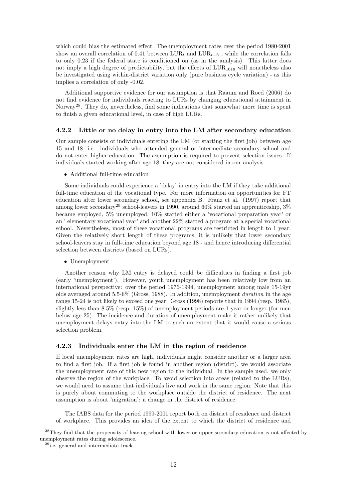which could bias the estimated effect. The unemployment rates over the period 1980-2001 show an overall correlation of 0.41 between  $LUR_t$  and  $LUR_{t-6}$ , while the correlation falls to only 0.23 if the federal state is conditioned on (as in the analysis). This latter does not imply a high degree of predictability, but the effects of  $LUR<sub>1618</sub>$  will nonetheless also be investigated using within-district variation only (pure business cycle variation) - as this implies a correlation of only -0.02.

Additional supportive evidence for our assumption is that Raaum and Roed (2006) do not find evidence for individuals reacting to LURs by changing educational attainment in Norway<sup>28</sup>. They do, nevertheless, find some indications that somewhat more time is spent to finish a given educational level, in case of high LURs.

#### 4.2.2 Little or no delay in entry into the LM after secondary education

Our sample consists of individuals entering the LM (or starting the first job) between age 15 and 18, i.e. individuals who attended general or intermediate secondary school and do not enter higher education. The assumption is required to prevent selection issues. If individuals started working after age 18, they are not considered in our analysis.

• Additional full-time education

Some individuals could experience a 'delay' in entry into the LM if they take additional full-time education of the vocational type. For more information on opportunities for FT education after lower secondary school, see appendix B. Franz et al. (1997) report that among lower secondary<sup>29</sup> school-leavers in 1990, around 60% started an apprenticeship, 3% became employed, 5% unemployed, 10% started either a 'vocational preparation year' or an ' elementary vocational year' and another 22% started a program at a special vocational school. Nevertheless, most of these vocational programs are restricted in length to 1 year. Given the relatively short length of these programs, it is unlikely that lower secondary school-leavers stay in full-time education beyond age 18 - and hence introducing differential selection between districts (based on LURs).

• Unemployment

Another reason why LM entry is delayed could be difficulties in finding a first job (early 'unemployment'). However, youth unemployment has been relatively low from an international perspective: over the period 1976-1994, unemployment among male 15-19yr olds averaged around 5.5-6% (Gross, 1988). In addition, unemployment duration in the age range 15-24 is not likely to exceed one year: Gross (1998) reports that in 1994 (resp. 1985), slightly less than 8.5% (resp. 15%) of unemployment periods are 1 year or longer (for men below age 25). The incidence and duration of unemployment make it rather unlikely that unemployment delays entry into the LM to such an extent that it would cause a serious selection problem.

#### 4.2.3 Individuals enter the LM in the region of residence

If local unemployment rates are high, individuals might consider another or a larger area to find a first job. If a first job is found in another region (district), we would associate the unemployment rate of this new region to the individual. In the sample used, we only observe the region of the workplace. To avoid selection into areas (related to the LURs), we would need to assume that individuals live and work in the same region. Note that this is purely about commuting to the workplace outside the district of residence. The next assumption is about 'migration': a change in the district of residence.

The IABS data for the period 1999-2001 report both on district of residence and district of workplace. This provides an idea of the extent to which the district of residence and

<sup>&</sup>lt;sup>28</sup>They find that the propensity of leaving school with lower or upper secondary education is not affected by unemployment rates during adolescence.

<sup>29</sup>i.e. general and intermediate track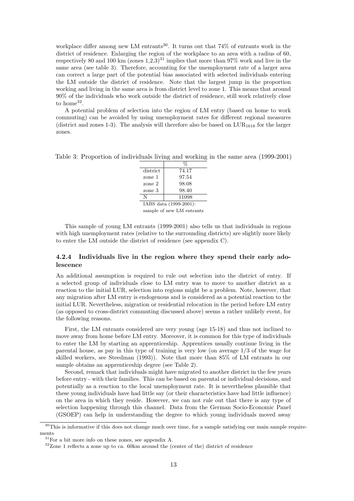workplace differ among new LM entrants<sup>30</sup>. It turns out that  $74\%$  of entrants work in the district of residence. Enlarging the region of the workplace to an area with a radius of 60, respectively 80 and 100 km (zones  $1,2,3$ )<sup>31</sup> implies that more than 97% work and live in the same area (see table 3). Therefore, accounting for the unemployment rate of a larger area can correct a large part of the potential bias associated with selected individuals entering the LM outside the district of residence. Note that the largest jump in the proportion working and living in the same area is from district level to zone 1. This means that around 90% of the individuals who work outside the district of residence, still work relatively close to home<sup>32</sup>.

A potential problem of selection into the region of LM entry (based on home to work commuting) can be avoided by using unemployment rates for different regional measures (district and zones 1-3). The analysis will therefore also be based on  $LUR_{1618}$  for the larger zones.

Table 3: Proportion of individuals living and working in the same area (1999-2001)

|                        | %                         |  |  |  |
|------------------------|---------------------------|--|--|--|
| district               | 74.17                     |  |  |  |
| zone 1                 | 97.54                     |  |  |  |
| zone 2                 | 98.08                     |  |  |  |
| zone 3                 | 98.40                     |  |  |  |
| N                      | 11098                     |  |  |  |
| IABS data (1999-2001): |                           |  |  |  |
|                        | sample of new LM entrants |  |  |  |

This sample of young LM entrants (1999-2001) also tells us that individuals in regions with high unemployment rates (relative to the surrounding districts) are slightly more likely to enter the LM outside the district of residence (see appendix C).

### 4.2.4 Individuals live in the region where they spend their early adolescence

An additional assumption is required to rule out selection into the district of entry. If a selected group of individuals close to LM entry was to move to another district as a reaction to the initial LUR, selection into regions might be a problem. Note, however, that any migration after LM entry is endogenous and is considered as a potential reaction to the initial LUR. Nevertheless, migration or residential relocation in the period before LM entry (as opposed to cross-district commuting discussed above) seems a rather unlikely event, for the following reasons.

First, the LM entrants considered are very young (age 15-18) and thus not inclined to move away from home before LM entry. Moreover, it is common for this type of individuals to enter the LM by starting an apprenticeship. Apprentices usually continue living in the parental house, as pay in this type of training is very low (on average 1/3 of the wage for skilled workers, see Steedman (1993)). Note that more than 85% of LM entrants in our sample obtains an apprenticeship degree (see Table 2).

Second, remark that individuals might have migrated to another district in the few years before entry - with their families. This can be based on parental or individual decisions, and potentially as a reaction to the local unemployment rate. It is nevertheless plausible that these young individuals have had little say (or their characteristics have had little influence) on the area in which they reside. However, we can not rule out that there is any type of selection happening through this channel. Data from the German Socio-Economic Panel (GSOEP) can help in understanding the degree to which young individuals moved away

<sup>&</sup>lt;sup>30</sup>This is informative if this does not change much over time, for a sample satisfying our main sample requirements

 $31$  For a bit more info on these zones, see appendix A.

<sup>&</sup>lt;sup>32</sup>Zone 1 reflects a zone up to ca. 60km around the (center of the) district of residence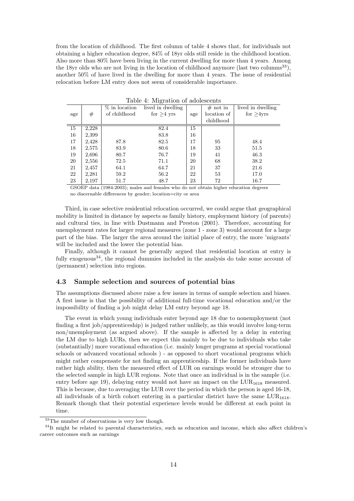from the location of childhood. The first column of table 4 shows that, for individuals not obtaining a higher education degree, 84% of 18yr olds still reside in the childhood location. Also more than 80% have been living in the current dwelling for more than 4 years. Among the 18yr olds who are not living in the location of childhood anymore (last two columns<sup>33</sup>), another 50% of have lived in the dwelling for more than 4 years. The issue of residential relocation before LM entry does not seem of considerable importance.

|     |       | $\%$ in location | lived in dwelling |     | $#$ not in  | lived in dwelling |
|-----|-------|------------------|-------------------|-----|-------------|-------------------|
| age | #     | of childhood     | for $>4$ yrs      | age | location of | for $>4$ yrs      |
|     |       |                  |                   |     | childhood   |                   |
| 15  | 2,228 |                  | 82.4              | 15  |             |                   |
| 16  | 2,399 |                  | 83.8              | 16  |             |                   |
| 17  | 2,428 | 87.8             | 82.5              | 17  | 95          | 48.4              |
| 18  | 2,575 | 83.9             | 80.6              | 18  | 33          | 51.5              |
| 19  | 2,696 | 80.7             | 76.7              | 19  | 41          | 46.3              |
| 20  | 2,556 | 72.5             | 71.1              | 20  | 68          | 38.2              |
| 21  | 2,457 | 64.1             | 64.7              | 21  | 37          | 21.6              |
| 22  | 2,281 | 59.2             | 56.2              | 22  | 53          | 17.0              |
| 23  | 2,197 | 51.7             | 48.7              | 23  | 72          | 16.7              |

Table 4: Migration of adolescents

GSOEP data (1984-2003); males and females who do not obtain higher education degrees no discernable differences by gender; location=city or area

Third, in case selective residential relocation occurred, we could argue that geographical mobility is limited in distance by aspects as family history, employment history (of parents) and cultural ties, in line with Dustmann and Preston (2001). Therefore, accounting for unemployment rates for larger regional measures (zone 1 - zone 3) would account for a large part of the bias. The larger the area around the initial place of entry, the more 'migrants' will be included and the lower the potential bias.

Finally, although it cannot be generally argued that residential location at entry is fully exogenous<sup>34</sup>, the regional dummies included in the analysis do take some account of (permanent) selection into regions.

#### 4.3 Sample selection and sources of potential bias

The assumptions discussed above raise a few issues in terms of sample selection and biases. A first issue is that the possibility of additional full-time vocational education and/or the impossibility of finding a job might delay LM entry beyond age 18.

The event in which young individuals enter beyond age 18 due to nonemployment (not finding a first job/apprenticeship) is judged rather unlikely, as this would involve long-term non/unemployment (as argued above). If the sample is affected by a delay in entering the LM due to high LURs, then we expect this mainly to be due to individuals who take (substantially) more vocational education (i.e. mainly longer programs at special vocational schools or advanced vocational schools ) - as opposed to short vocational programs which might rather compensate for not finding an apprenticeship. If the former individuals have rather high ability, then the measured effect of LUR on earnings would be stronger due to the selected sample in high LUR regions. Note that once an individual is in the sample (i.e. entry before age 19), delaying entry would not have an impact on the  $LUR<sub>1618</sub>$  measured. This is because, due to averaging the LUR over the period in which the person is aged 16-18, all individuals of a birth cohort entering in a particular district have the same  $LUR_{1618}$ . Remark though that their potential experience levels would be different at each point in time.

<sup>33</sup>The number of observations is very low though.

<sup>&</sup>lt;sup>34</sup>It might be related to parental characteristics, such as education and income, which also affect children's career outcomes such as earnings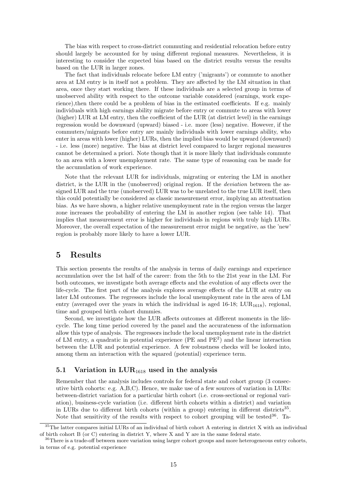The bias with respect to cross-district commuting and residential relocation before entry should largely be accounted for by using different regional measures. Nevertheless, it is interesting to consider the expected bias based on the district results versus the results based on the LUR in larger zones.

The fact that individuals relocate before LM entry ('migrants') or commute to another area at LM entry is in itself not a problem. They are affected by the LM situation in that area, once they start working there. If these individuals are a selected group in terms of unobserved ability with respect to the outcome variable considered (earnings, work experience),then there could be a problem of bias in the estimated coefficients. If e.g. mainly individuals with high earnings ability migrate before entry or commute to areas with lower (higher) LUR at LM entry, then the coefficient of the LUR (at district level) in the earnings regression would be downward (upward) biased - i.e. more (less) negative. However, if the commuters/migrants before entry are mainly individuals with lower earnings ability, who enter in areas with lower (higher) LURs, then the implied bias would be upward (downward) - i.e. less (more) negative. The bias at district level compared to larger regional measures cannot be determined a priori. Note though that it is more likely that individuals commute to an area with a lower unemployment rate. The same type of reasoning can be made for the accumulation of work experience.

Note that the relevant LUR for individuals, migrating or entering the LM in another district, is the LUR in the (unobserved) original region. If the *deviation* between the assigned LUR and the true (unobserved) LUR was to be unrelated to the true LUR itself, then this could potentially be considered as classic measurement error, implying an attentuation bias. As we have shown, a higher relative unemployment rate in the region versus the larger zone increases the probability of entering the LM in another region (see table 14). That implies that measurement error is higher for individuals in regions with truly high LURs. Moreover, the overall expectation of the measurement error might be negative, as the 'new' region is probably more likely to have a lower LUR.

## 5 Results

This section presents the results of the analysis in terms of daily earnings and experience accumulation over the 1st half of the career: from the 5th to the 21st year in the LM. For both outcomes, we investigate both average effects and the evolution of any effects over the life-cycle. The first part of the analysis explores average effects of the LUR at entry on later LM outcomes. The regressors include the local unemployment rate in the area of LM entry (averaged over the years in which the individual is aged  $16-18$ ; LUR<sub>1618</sub>), regional, time and grouped birth cohort dummies.

Second, we investigate how the LUR affects outcomes at different moments in the lifecycle. The long time period covered by the panel and the accurateness of the information allow this type of analysis. The regressors include the local unemployment rate in the district of LM entry, a quadratic in potential experience (PE and PE<sup>2</sup> ) and the linear interaction between the LUR and potential experience. A few robustness checks will be looked into, among them an interaction with the squared (potential) experience term.

### 5.1 Variation in  $LUR_{1618}$  used in the analysis

Remember that the analysis includes controls for federal state and cohort group (3 consecutive birth cohorts: e.g. A,B,C). Hence, we make use of a few sources of variation in LURs: between-district variation for a particular birth cohort (i.e. cross-sectional or regional variation), business-cycle variation (i.e. different birth cohorts within a district) and variation in LURs due to different birth cohorts (within a group) entering in different districts<sup>35</sup>. Note that sensitivity of the results with respect to cohort grouping will be tested  $36$ . Ta-

<sup>&</sup>lt;sup>35</sup>The latter compares initial LURs of an individual of birth cohort A entering in district X with an individual of birth cohort B (or C) entering in district Y, where X and Y are in the same federal state.

<sup>&</sup>lt;sup>36</sup>There is a trade-off between more variation using larger cohort groups and more heterogeneous entry cohorts, in terms of e.g. potential experience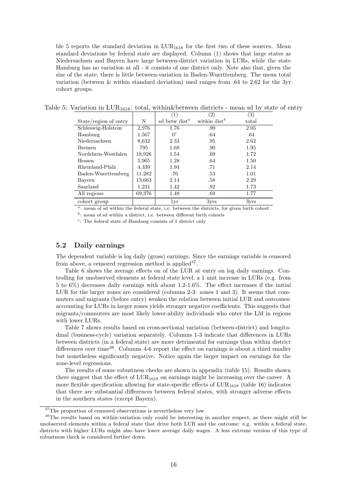ble 5 reports the standard deviation in  $LUR_{1618}$  for the first two of these sources. Mean standard deviations by federal state are displayed. Column (1) shows that large states as Niedersachsen and Bayern have large between-district variation in LURs, while the state Hamburg has no variation at all - it consists of one district only. Note also that, given the size of the state, there is little between-variation in Baden-Wuerttemberg. The mean total variation (between & within standard deviation) used ranges from .64 to 2.62 for the 3yr cohort groups.

|  |  |  |  | Table 5: Variation in $LUR_{1618}$ : total, within & between districts - mean sd by state of entry |  |  |  |  |
|--|--|--|--|----------------------------------------------------------------------------------------------------|--|--|--|--|
|--|--|--|--|----------------------------------------------------------------------------------------------------|--|--|--|--|

|                       |        | $\left(1\right)$          | (2)             | $\left( 3\right)$ |
|-----------------------|--------|---------------------------|-----------------|-------------------|
| State/region of entry | Ν      | sd betw dist <sup>a</sup> | within $dist^b$ | total             |
| Schleswig-Holstein    | 2,976  | 1.76                      | .90             | 2.05              |
| Hamburg               | 1,567  | $0^c$                     | .64             | .64               |
| Niedersachsen         | 8,632  | 2.33                      | .95             | 2.62              |
| <b>Bremen</b>         | 795    | 1.68                      | .90             | 1.95              |
| Nordrhein-Westfalen   | 18,926 | 1.54                      | .69             | 1.72              |
| Hessen                | 5,965  | 1.28                      | .64             | 1.50              |
| Rheinland-Pfalz       | 4,339  | 1.94                      | .71             | 2.14              |
| Baden-Wuerttemberg    | 11,282 | .76                       | .53             | 1.01              |
| Bayern                | 13,663 | 2.14                      | .58             | 2.29              |
| Saarland              | 1.231  | 1.42                      | .92             | 1.73              |
| All regions           | 69,376 | 1.48                      | .69             | 1.77              |
| cohort group          |        | 1yr                       | $3V$ rs         | 3yrs              |

<sup>a</sup>: mean of sd within the federal state, i.e. between the districts, for given birth cohort

 $b$ : mean of sd within a district, i.e. between different birth cohorts

c : The federal state of Hamburg consists of 1 district only

### 5.2 Daily earnings

The dependent variable is log daily (gross) earnings. Since the earnings variable is censored from above, a censored regression method is applied  $37$ .

Table 6 shows the average effects on of the LUR at entry on log daily earnings. Controlling for unobserved elements at federal state level, a 1 unit increase in LURs (e.g. from 5 to 6%) decreases daily earnings with about 1.2-1.6%. The effect increases if the initial LUR for the larger zones are considered (columns 2-3: zones 1 and 3). It seems that commuters and migrants (before entry) weaken the relation between initial LUR and outcomes: accounting for LURs in larger zones yields stronger negative coefficients. This suggests that migrants/commuters are most likely lower-ability individuals who enter the LM in regions with lower LURs.

Table 7 shows results based on cross-sectional variation (between-district) and longitudinal (business-cycle) variation separately. Columns 1-3 indicate that differences in LURs between districts (in a federal state) are more detrimental for earnings than within district differences over time<sup>38</sup>. Columns 4-6 report the effect on earnings is about a third smaller but nonetheless significantly negative. Notice again the larger impact on earnings for the zone-level regressions.

The results of some robustness checks are shown in appendix (table 15). Results shown there suggest that the effect of  $LUR<sub>1618</sub>$  on earnings might be increasing over the career. A more flexible specification allowing for state-specific effects of  $LUR_{1618}$  (table 16) indicates that there are substantial differences between federal states, with stronger adverse effects in the southern states (except Bayern).

<sup>37</sup>The proportion of censored observations is nevertheless very low.

<sup>&</sup>lt;sup>38</sup>The results based on within-variation only could be interesting in another respect, as there might still be unobserved elements within a federal state that drive both LUR and the outcome: e.g. within a federal state, districts with higher LURs might also have lower average daily wages. A less extreme version of this type of robustness check is considered further down.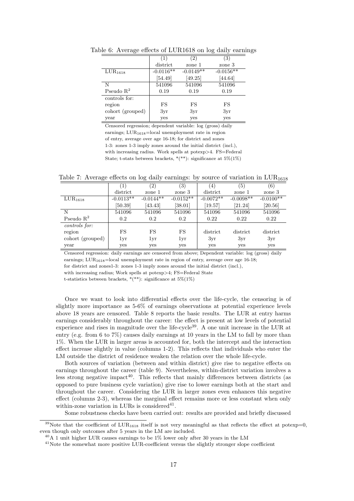|                     | (1)         | $\left( 2\right)$ | (3)         |
|---------------------|-------------|-------------------|-------------|
|                     | district    | zone 1            | zone 3      |
| LUR <sub>1618</sub> | $-0.0116**$ | $-0.0149**$       | $-0.0156**$ |
|                     | [54.49]     | [49.25]           | [44.64]     |
| N                   | 541096      | 541096            | 541096      |
| Pseudo $R^2$        | 0.19        | 0.19              | 0.19        |
| controls for:       |             |                   |             |
| region              | FS          | FS                | FS          |
| cohort (grouped)    | 3yr         | 3yr               | 3yr         |
| year                | yes         | yes               | yes         |

Table 6: Average effects of LUR1618 on log daily earnings

Censored regression; dependent variable: log (gross) daily earnings;  $LUR_{1618} = local$  unemployment rate in region of entry, average over age 16-18; for district and zones 1-3: zones 1-3 imply zones around the initial district (incl.), with increasing radius. Work spells at potexp>4. FS=Federal State; t-stats between brackets,  $*(**)$ : significance at  $5\%(1\%)$ 

Table 7: Average effects on log daily earnings: by source of variation in  $LUR_{1618}$ 

|                     | (1)         | $\left( 2\right)$ | $\left(3\right)$ | $\left( 4\right)$    | $\left(5\right)$ | (6)         |
|---------------------|-------------|-------------------|------------------|----------------------|------------------|-------------|
|                     | district    | zone 1            | zone 3           | district             | zone 1           | zone 3      |
| LUR <sub>1618</sub> | $-0.0113**$ | $-0.0144**$       | $-0.0152**$      | $-0.0072**$          | $-0.0098**$      | $-0.0100**$ |
|                     | [50.39]     | [43.43]           | [38.01]          | $\left[19.57\right]$ | [21.24]          | [20.56]     |
| N                   | 541096      | 541096            | 541096           | 541096               | 541096           | 541096      |
| Pseudo $R^2$        | 0.2         | 0.2               | 0.2              | 0.22                 | 0.22             | 0.22        |
| controls for:       |             |                   |                  |                      |                  |             |
| region              | FS          | FS                | FS               | district             | district         | district    |
| cohort (grouped)    | 1yr         | 1yr               | 1yr              | 3yr                  | 3yr              | 3yr         |
| year                | yes         | yes               | yes              | yes                  | yes              | yes         |

Censored regression: daily earnings are censored from above; Dependent variable: log (gross) daily

earnings; LUR<sub>1618</sub>=local unemployment rate in region of entry, average over age 16-18;

for district and zones1-3: zones 1-3 imply zones around the initial district (incl.), with increasing radius; Work spells at potexp>4; FS=Federal State

t-statistics between brackets,  $*(**)$ : significance at  $5\%(1\%)$ 

Once we want to look into differential effects over the life-cycle, the censoring is of slightly more importance as 5-6% of earnings observations at potential experience levels above 18 years are censored. Table 8 reports the basic results. The LUR at entry harms earnings considerably throughout the career: the effect is present at low levels of potential experience and rises in magnitude over the life-cycle<sup>39</sup>. A one unit increase in the LUR at entry (e.g. from 6 to 7%) causes daily earnings at 10 years in the LM to fall by more than 1%. When the LUR in larger areas is accounted for, both the intercept and the interaction effect increase slightly in value (columns 1-2). This reflects that individuals who enter the LM outside the district of residence weaken the relation over the whole life-cycle.

Both sources of variation (between and within district) give rise to negative effects on earnings throughout the career (table 9). Nevertheless, within-district variation involves a less strong negative impact<sup>40</sup>. This reflects that mainly differences between districts (as opposed to pure business cycle variation) give rise to lower earnings both at the start and throughout the career. Considering the LUR in larger zones even enhances this negative effect (columns 2-3), whereas the marginal effect remains more or less constant when only within-zone variation in LURs is considered  $41$ .

Some robustness checks have been carried out: results are provided and briefly discussed

<sup>&</sup>lt;sup>39</sup>Note that the coefficient of  $LUR_{1618}$  itself is not very meaningful as that reflects the effect at potexp=0, even though only outcomes after 5 years in the LM are included.

 $^{40}$ A 1 unit higher LUR causes earnings to be 1% lower only after 30 years in the LM

<sup>&</sup>lt;sup>41</sup>Note the somewhat more positive LUR-coefficient versus the slightly stronger slope coefficient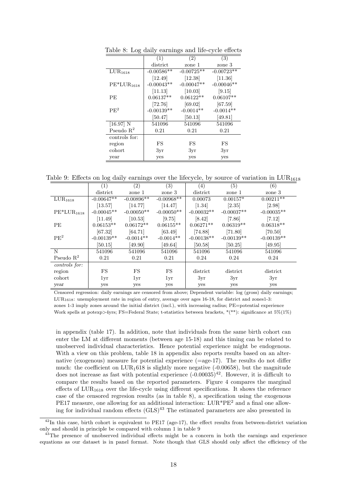|                                       | (1)          | (2)          | (3)          |
|---------------------------------------|--------------|--------------|--------------|
|                                       | district     | zone 1       | zone 3       |
| $\overline{\text{L}}\text{UR}_{1618}$ | $-0.00586**$ | $-0.00725**$ | $-0.00723**$ |
|                                       | [12.49]      | [12.38]      | $[11.36]$    |
| $PE*LUR1618$                          | $-0.00043**$ | $-0.00047**$ | $-0.00046**$ |
|                                       | [11.13]      | [10.03]      | [9.15]       |
| PE                                    | $0.06137**$  | $0.06122**$  | $0.06107**$  |
|                                       | [72.76]      | [69.02]      | [67.59]      |
| PE <sup>2</sup>                       | $-0.00139**$ | $-0.0014**$  | $-0.0014**$  |
|                                       | [50.47]      | [50.13]      | [49.81]      |
| $[16.97]$ N                           | 541096       | 541096       | 541096       |
| Pseudo $\mathbb{R}^2$                 | 0.21         | 0.21         | 0.21         |
| controls for:                         |              |              |              |
| region                                | FS           | FS           | FS           |
| cohort                                | 3yr          | 3yr          | 3yr          |
| year                                  | yes          | yes          | yes          |

Table 8: Log daily earnings and life-cycle effects

Table 9: Effects on log daily earnings over the lifecycle, by source of variation in  $LUR_{1618}$ 

|                            | $\left(1\right)$ | (2)          | (3)          | (4)          | (5)          | (6)          |
|----------------------------|------------------|--------------|--------------|--------------|--------------|--------------|
|                            | district         | zone 1       | zone 3       | district     | zone 1       | zone 3       |
| LUR <sub>1618</sub>        | $-0.00647**$     | $-0.00896**$ | $-0.00968**$ | 0.00073      | $0.00157*$   | $0.00211**$  |
|                            | [13.57]          | [14.77]      | [14.47]      | [1.34]       | [2.35]       | [2.98]       |
| $PE*LUR_{1618}$            | $-0.00045**$     | $-0.00050**$ | $-0.00050**$ | $-0.00032**$ | $-0.00037**$ | $-0.00035**$ |
|                            | [11.49]          | [10.53]      | [9.75]       | [8.42]       | [7.86]       | [7.12]       |
| <b>PE</b>                  | $0.06153**$      | $0.06172**$  | $0.06155**$  | $0.06271**$  | $0.06319**$  | $0.06318**$  |
|                            | [67.32]          | [64.71]      | [63.49]      | [74.88]      | [71.80]      | [70.50]      |
| PE <sup>2</sup>            | $-0.00139**$     | $-0.0014**$  | $-0.0014**$  | $-0.00138**$ | $-0.00139**$ | $-0.00139**$ |
|                            | [50.15]          | [49.90]      | [49.64]      | [50.58]      | [50.25]      | [49.95]      |
| N                          | 541096           | 541096       | 541096       | 541096       | 541096       | 541096       |
| Pseudo $R^2$               | 0.21             | 0.21         | 0.21         | 0.24         | 0.24         | 0.24         |
| $\overline{controls}$ for: |                  |              |              |              |              |              |
| region                     | FS               | FS           | FS           | district     | district     | district     |
| cohort                     | 1yr              | 1yr          | 1yr          | 3yr          | 3yr          | 3yr          |
| year                       | yes              | yes          | yes          | yes          | yes          | yes          |

Censored regression: daily earnings are censored from above; Dependent variable: log (gross) daily earnings;  $LUR<sub>1618</sub>$ : unemployment rate in region of entry, average over ages 16-18, for district and zones1-3: zones 1-3 imply zones around the initial district (incl.), with increasing radius; PE=potential experience Work spells at potexp>4yrs; FS=Federal State; t-statistics between brackets, \*(\*\*): significance at 5%(1%)

in appendix (table 17). In addition, note that individuals from the same birth cohort can enter the LM at different moments (between age 15-18) and this timing can be related to unobserved individual characteristics. Hence potential experience might be endogenous. With a view on this problem, table 18 in appendix also reports results based on an alternative (exogenous) measure for potential experience (=age-17). The results do not differ much: the coefficient on  $LUR_1618$  is slightly more negative (-0.00658), but the magnitude does not increase as fast with potential experience  $(-0.00035)^{42}$ . However, it is difficult to compare the results based on the reported parameters. Figure 4 compares the marginal effects of  $LUR<sub>1618</sub>$  over the life-cycle using different specifications. It shows the reference case of the censored regresion results (as in table 8), a specification using the exogenous PE17 measure, one allowing for an additional interaction:  $LUR^*PE^2$  and a final one allowing for individual random effects  $(GLS)^{43}$  The estimated parameters are also presented in

 $^{42}$ In this case, birth cohort is equivalent to PE17 (age-17), the effect results from between-district variation only and should in principle be compared with column 1 in table 9

<sup>&</sup>lt;sup>43</sup>The presence of unobserved individual effects might be a concern in both the earnings and experience equations as our dataset is in panel format. Note though that GLS should only affect the efficiency of the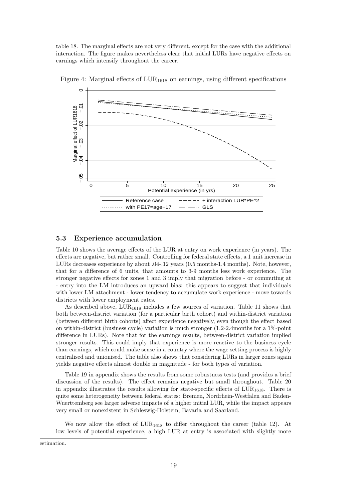table 18. The marginal effects are not very different, except for the case with the additional interaction. The figure makes nevertheless clear that initial LURs have negative effects on earnings which intensify throughout the career.



Figure 4: Marginal effects of  $LUR_{1618}$  on earnings, using different specifications

### 5.3 Experience accumulation

Table 10 shows the average effects of the LUR at entry on work experience (in years). The effects are negative, but rather small. Controlling for federal state effects, a 1 unit increase in LURs decreases experience by about .04-.12 years (0.5 months-1.4 months). Note, however, that for a difference of 6 units, that amounts to 3-9 months less work experience. The stronger negative effects for zones 1 and 3 imply that migration before - or commuting at - entry into the LM introduces an upward bias: this appears to suggest that individuals with lower LM attachment - lower tendency to accumulate work experience - move towards districts with lower employment rates.

As described above,  $LUR_{1618}$  includes a few sources of variation. Table 11 shows that both between-district variation (for a particular birth cohort) and within-district variation (between different birth cohorts) affect experience negatively, even though the effect based on within-district (business cycle) variation is much stronger (1.2-2.4months for a 1%-point difference in LURs). Note that for the earnings results, between-district variation implied stronger results. This could imply that experience is more reactive to the business cycle than earnings, which could make sense in a country where the wage setting process is highly centralised and unionised. The table also shows that considering LURs in larger zones again yields negative effects almost double in magnitude - for both types of variation.

Table 19 in appendix shows the results from some robustness tests (and provides a brief discussion of the results). The effect remains negative but small throughout. Table 20 in appendix illustrates the results allowing for state-specific effects of  $LUR_{1618}$ . There is quite some heterogeneity between federal states: Bremen, Nordrhein-Westfalen and Baden-Wuerttemberg see larger adverse impacts of a higher initial LUR, while the impact appears very small or nonexistent in Schleswig-Holstein, Bavaria and Saarland.

We now allow the effect of  $LUR_{1618}$  to differ throughout the career (table 12). At low levels of potential experience, a high LUR at entry is associated with slightly more

estimation.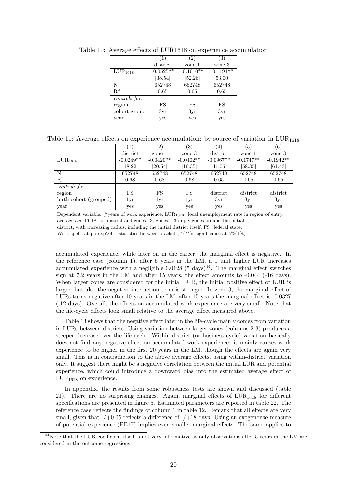|                     |             | $\left( 2\right)$ | (3)         |
|---------------------|-------------|-------------------|-------------|
|                     | district    | zone 1            | zone 3      |
| LUR <sub>1618</sub> | $-0.0525**$ | $-0.1010**$       | $-0.1191**$ |
|                     | [38.54]     | [52.26]           | [53.00]     |
| N                   | 652748      | 652748            | 652748      |
| $\mathbf{R}^2$      | 0.65        | 0.65              | 0.65        |
| controls for:       |             |                   |             |
| region              | FS          | FS                | FS          |
| cohort group        | 3yr         | 3yr               | 3yr         |
| year                | yes         | yes               | yes         |

Table 10: Average effects of LUR1618 on experience accumulation

Table 11: Average effects on experience accumulation: by source of variation in  $LUR_{1618}$ 

|                        | $\left(1\right)$ | $\left( 2\right)$ | (3)         | $\left(4\right)$ | (5)         | (6)         |
|------------------------|------------------|-------------------|-------------|------------------|-------------|-------------|
|                        | district         | zone 1            | zone 3      | district         | zone 1      | zone 3      |
| $\mathrm{LUR}_{1618}$  | $-0.0249**$      | $-0.0420**$       | $-0.0402**$ | $-0.0967**$      | $-0.1747**$ | $-0.1942**$ |
|                        | [18.22]          | [20.54]           | [16.35]     | [41.06]          | [58.35]     | [61.43]     |
| N                      | 652748           | 652748            | 652748      | 652748           | 652748      | 652748      |
| $R^2$                  | 0.68             | 0.68              | 0.68        | 0.65             | 0.65        | 0.65        |
| controls for:          |                  |                   |             |                  |             |             |
| region                 | FS               | FS                | FS          | district         | district    | district    |
| birth cohort (grouped) | 1yr              | 1yr               | 1yr         | 3yr              | 3yr         | 3yr         |
| year                   | yes              | yes               | yes         | yes              | yes         | yes         |

Dependent variable: #years of work experience;  $LUR_{1618}$ : local unemployment rate in region of entry, average age 16-18; for district and zones1-3: zones 1-3 imply zones around the initial district, with increasing radius, including the initial district itself; FS=federal state;

Work spells at potexp>4; t-statistics between brackets,  $*(**)$ : significance at  $5\%(1\%)$ 

accumulated experience, while later on in the career, the marginal effect is negative. In the reference case (column 1), after 5 years in the LM, a 1 unit higher LUR increases accumulated experience with a negligible  $0.0128$  (5 days)<sup>44</sup>. The marginal effect switches sign at 7.2 years in the LM and after 15 years, the effect amounts to -0.044 (-16 days). When larger zones are considered for the initial LUR, the initial positive effect of LUR is larger, but also the negative interaction term is stronger. In zone 3, the marginal effect of LURs turns negative after 10 years in the LM; after 15 years the marginal effect is -0.0327 (-12 days). Overall, the effects on accumulated work experience are very small. Note that the life-cycle effects look small relative to the average effect measured above.

Table 13 shows that the negative effect later in the life-cycle mainly comes from variation in LURs between districts. Using variation between larger zones (columns 2-3) produces a steeper decrease over the life-cycle. Within-district (or business cycle) variation basically does not find any negative effect on accumulated work experience: it mainly causes work experience to be higher in the first 20 years in the LM, though the effects are again very small. This is in contradiction to the above average effects, using within-district variation only. It suggest there might be a negative correlation between the initial LUR and potential experience, which could introduce a downward bias into the estimated average effect of LUR<sup>1618</sup> on experience.

In appendix, the results from some robustness tests are shown and discussed (table 21). There are no surprising changes. Again, marginal effects of  $LUR_{1618}$  for different specifications are presented in figure 5. Estimated parameters are reported in table 22. The reference case reflects the findings of column 1 in table 12. Remark that all effects are very small, given that  $-\prime +0.05$  reflects a difference of  $-\prime +18$  days. Using an exogenouse measure of potential experience (PE17) implies even smaller marginal effects. The same applies to

<sup>&</sup>lt;sup>44</sup>Note that the LUR-coefficient itself is not very informative as only observations after 5 years in the LM are considered in the outcome regressions.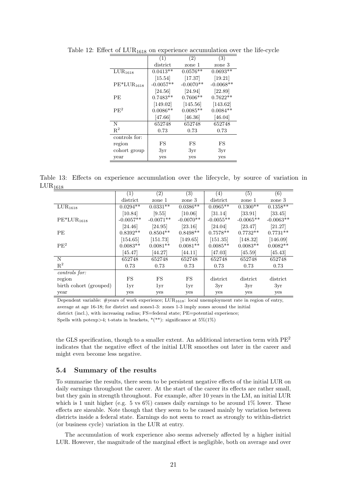|                     | (1)         | (2)         | (3)         |
|---------------------|-------------|-------------|-------------|
|                     | district    | zone 1      | zone 3      |
| LUR <sub>1618</sub> | $0.0413**$  | $0.0576**$  | $0.0693**$  |
|                     | [15.54]     | [17.37]     | [19.21]     |
| $PE*LUR_{1618}$     | $-0.0057**$ | $-0.0070**$ | $-0.0068**$ |
|                     | [24.56]     | $[24.94]$   | [22.89]     |
| РE                  | $0.7483**$  | $0.7606**$  | $0.7622**$  |
|                     | [149.02]    | [145.56]    | [143.62]    |
| PF <sup>2</sup>     | $0.0086**$  | $0.0085**$  | $0.0084**$  |
|                     | $[47.66]$   | [46.36]     | [46.04]     |
| N                   | 652748      | 652748      | 652748      |
| $\mathbf{R}^2$      | 0.73        | 0.73        | 0.73        |
| controls for:       |             |             |             |
| region              | FS          | FS          | FS          |
| cohort group        | 3yr         | 3yr         | 3yr         |
| year                | yes         | yes         | yes         |

Table 12: Effect of  $LUR_{1618}$  on experience accumulation over the life-cycle

Table 13: Effects on experience accumulation over the lifecycle, by source of variation in  $LUR<sub>1618</sub>$ 

|                                | (1)                   | (2)                    | (3)         | (4)         | (5)         | (6)         |
|--------------------------------|-----------------------|------------------------|-------------|-------------|-------------|-------------|
|                                | district              | zone 1                 | zone 3      | district    | zone 1      | zone 3      |
| $\overline{\text{LUR}}_{1618}$ | $0.02\overline{94**}$ | $0.03\overline{31***}$ | $0.0386**$  | $0.0965**$  | $0.1300**$  | $0.1358**$  |
|                                | [10.84]               | [9.55]                 | [10.06]     | [31.14]     | [33.91]     | [33.45]     |
| $PE*LUR1618$                   | $-0.0057**$           | $-0.0071**$            | $-0.0070**$ | $-0.0055**$ | $-0.0065**$ | $-0.0063**$ |
|                                | [24.46]               | [24.95]                | [23.16]     | [24.04]     | [23.47]     | [21.27]     |
| <b>PE</b>                      | $0.8392**$            | $0.8504**$             | $0.8498**$  | $0.7578**$  | $0.7732**$  | $0.7731**$  |
|                                | [154.65]              | [151.73]               | [149.65]    | [151.35]    | [148.32]    | [146.09]    |
| PE <sup>2</sup>                | $0.0083**$            | $0.0081**$             | $0.0081**$  | $0.0085**$  | $0.0083**$  | $0.0082**$  |
|                                | [45.47]               | [44.27]                | [44.11]     | [47.03]     | [45.59]     | [45.43]     |
| N                              | 652748                | 652748                 | 652748      | 652748      | 652748      | 652748      |
| $R^2$                          | 0.73                  | 0.73                   | 0.73        | 0.73        | 0.73        | 0.73        |
| controls for:                  |                       |                        |             |             |             |             |
| region                         | FS                    | FS                     | FS          | district    | district    | district    |
| birth cohort (grouped)         | 1yr                   | 1yr                    | 1yr         | 3yr         | 3yr         | 3yr         |
| year                           | yes                   | yes                    | yes         | yes         | yes         | yes         |

Dependent variable: #years of work experience; LUR1618: local unemployment rate in region of entry, average at age 16-18; for district and zones1-3: zones 1-3 imply zones around the initial district (incl.), with increasing radius; FS=federal state; PE=potential experience; Spells with potexp>4; t-stats in brackets,  $*(**)$ : significance at 5%(1%)

the GLS specification, though to a smaller extent. An additional interaction term with  $\rm{PE}^2$ indicates that the negative effect of the initial LUR smoothes out later in the career and might even become less negative.

#### 5.4 Summary of the results

To summarise the results, there seem to be persistent negative effects of the initial LUR on daily earnings throughout the career. At the start of the career its effects are rather small, but they gain in strength throughout. For example, after 10 years in the LM, an initial LUR which is 1 unit higher (e.g. 5 vs  $6\%$ ) causes daily earnings to be around 1% lower. These effects are sizeable. Note though that they seem to be caused mainly by variation between districts inside a federal state. Earnings do not seem to react as strongly to within-district (or business cycle) variation in the LUR at entry.

The accumulation of work experience also seems adversely affected by a higher initial LUR. However, the magnitude of the marginal effect is negligible, both on average and over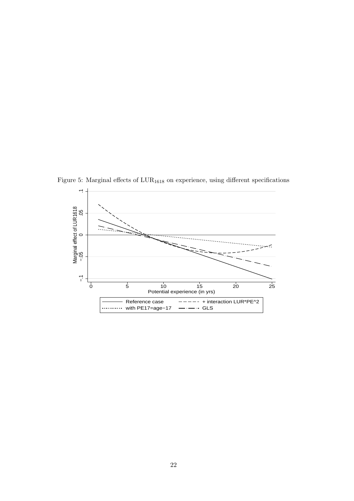$\overline{\phantom{0}}$ -<br>0<br>0<br>0 Marginal effect of LUR1618 0 −.1 −.05 0 5 10 15 20 25 Potential experience (in yrs) Reference case  $- - - - - +$  interaction LUR\*PE^2 with PE17=age−17 — — GLS . . . . . . . . . . .

Figure 5: Marginal effects of  $\text{LUR}_{1618}$  on experience, using different specifications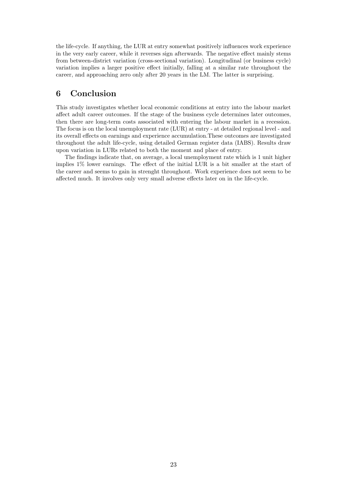the life-cycle. If anything, the LUR at entry somewhat positively influences work experience in the very early career, while it reverses sign afterwards. The negative effect mainly stems from between-district variation (cross-sectional variation). Longitudinal (or business cycle) variation implies a larger positive effect initially, falling at a similar rate throughout the career, and approaching zero only after 20 years in the LM. The latter is surprising.

## 6 Conclusion

This study investigates whether local economic conditions at entry into the labour market affect adult career outcomes. If the stage of the business cycle determines later outcomes, then there are long-term costs associated with entering the labour market in a recession. The focus is on the local unemployment rate (LUR) at entry - at detailed regional level - and its overall effects on earnings and experience accumulation.These outcomes are investigated throughout the adult life-cycle, using detailed German register data (IABS). Results draw upon variation in LURs related to both the moment and place of entry.

The findings indicate that, on average, a local unemployment rate which is 1 unit higher implies 1% lower earnings. The effect of the initial LUR is a bit smaller at the start of the career and seems to gain in strenght throughout. Work experience does not seem to be affected much. It involves only very small adverse effects later on in the life-cycle.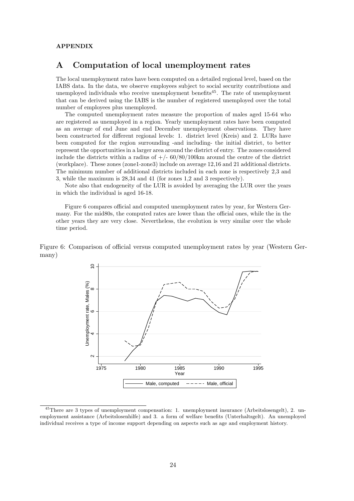#### APPENDIX

### A Computation of local unemployment rates

The local unemployment rates have been computed on a detailed regional level, based on the IABS data. In the data, we observe employees subject to social security contributions and unemployed individuals who receive unemployment benefits<sup>45</sup>. The rate of unemployment that can be derived using the IABS is the number of registered unemployed over the total number of employees plus unemployed.

The computed unemployment rates measure the proportion of males aged 15-64 who are registered as unemployed in a region. Yearly unemployment rates have been computed as an average of end June and end December unemployment observations. They have been constructed for different regional levels: 1. district level (Kreis) and 2. LURs have been computed for the region surrounding -and including- the initial district, to better represent the opportunities in a larger area around the district of entry. The zones considered include the districts within a radius of  $+/- 60/80/100$ km around the centre of the district (workplace). These zones (zone1-zone3) include on average 12,16 and 21 additional districts. The minimum number of additional districts included in each zone is respectively 2,3 and 3, while the maximum is 28,34 and 41 (for zones 1,2 and 3 respectively).

Note also that endogeneity of the LUR is avoided by averaging the LUR over the years in which the individual is aged 16-18.

Figure 6 compares official and computed unemployment rates by year, for Western Germany. For the mid80s, the computed rates are lower than the official ones, while the in the other years they are very close. Nevertheless, the evolution is very similar over the whole time period.

Figure 6: Comparison of official versus computed unemployment rates by year (Western Germany)



<sup>45</sup>There are 3 types of unemployment compensation: 1. unemployment insurance (Arbeitslosengelt), 2. unemployment assistance (Arbeitslosenhilfe) and 3. a form of welfare benefits (Unterhaltsgelt). An unemployed individual receives a type of income support depending on aspects such as age and employment history.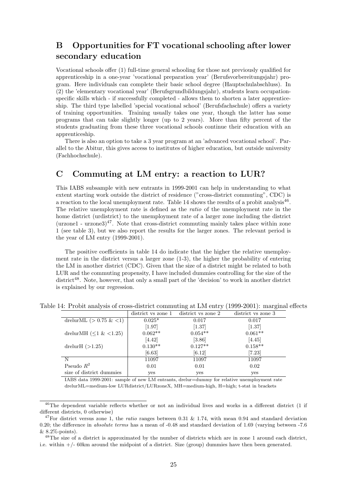## B Opportunities for FT vocational schooling after lower secondary education

Vocational schools offer (1) full-time general schooling for those not previously qualified for apprenticeship in a one-year 'vocational preparation year' (Berufsvorbereitungsjahr) program. Here individuals can complete their basic school degree (Hauptschulabschluss). In (2) the 'elementary vocational year' (Berufsgrundbildungsjahr), students learn occupationspecific skills which - if successfully completed - allows them to shorten a later apprenticeship. The third type labelled 'special vocational school' (Berufsfachschule) offers a variety of training opportunities. Training usually takes one year, though the latter has some programs that can take slightly longer (up to 2 years). More than fifty percent of the students graduating from these three vocational schools continue their education with an apprenticeship.

There is also an option to take a 3 year program at an 'advanced vocational school'. Parallel to the Abitur, this gives access to institutes of higher education, but outside university (Fachhochschule).

## C Commuting at LM entry: a reaction to LUR?

This IABS subsample with new entrants in 1999-2001 can help in understanding to what extent starting work outside the district of residence ("cross-district commuting", CDC) is a reaction to the local unemployment rate. Table 14 shows the results of a probit analysis<sup>46</sup>. The relative unemployment rate is defined as the *ratio* of the unemployment rate in the home district (urdistrict) to the unemployment rate of a larger zone including the district  $(\text{urzone1 - urzone3})^{47}$ . Note that cross-district commuting mainly takes place within zone 1 (see table 3), but we also report the results for the larger zones. The relevant period is the year of LM entry (1999-2001).

The positive coefficients in table 14 do indicate that the higher the relative unemployment rate in the district versus a larger zone (1-3), the higher the probability of entering the LM in another district (CDC). Given that the size of a district might be related to both LUR and the commuting propensity, I have included dummies controlling for the size of the district<sup>48</sup>. Note, however, that only a small part of the 'decision' to work in another district is explained by our regression.

|                             | district vs zone 1 | district vs zone 2 | district vs zone 3 |
|-----------------------------|--------------------|--------------------|--------------------|
| drelurML $(> 0.75 \& 1)$    | $0.025*$           | 0.017              | 0.017              |
|                             | [1.97]             | [1.37]             | [1.37]             |
| drelurMH $(\leq 1 \< 1.25)$ | $0.062**$          | $0.054**$          | $0.061**$          |
|                             | [4.42]             | [3.86]             | [4.45]             |
| drelur $H$ $(>1.25)$        | $0.130**$          | $0.127**$          | $0.158**$          |
|                             | [6.63]             | [6.12]             | [7.23]             |
| N                           | 11097              | 11097              | 11097              |
| Pseudo $R^2$                | 0.01               | 0.01               | 0.02               |
| size of district dummies    | yes                | yes                | yes                |

Table 14: Probit analysis of cross-district commuting at LM entry (1999-2001): marginal effects

IABS data 1999-2001: sample of new LM entrants, drelur=dummy for relative unemployment rate drelurML=medium-low LURdistrict/LURzoneX, MH=medium-high, H=high; t-stat in brackets

<sup>&</sup>lt;sup>46</sup>The dependent variable reflects whether or not an individual lives and works in a different district (1 if different districts, 0 otherwise)

<sup>&</sup>lt;sup>47</sup>For district versus zone 1, the ratio ranges between 0.31 & 1.74, with mean 0.94 and standard deviation 0.20; the difference in *absolute terms* has a mean of -0.48 and standard deviation of 1.69 (varying between -7.6 & 8.2%-points).

<sup>&</sup>lt;sup>48</sup>The size of a district is approximated by the number of districts which are in zone 1 around each district, i.e. within +/- 60km around the midpoint of a district. Size (group) dummies have then been generated.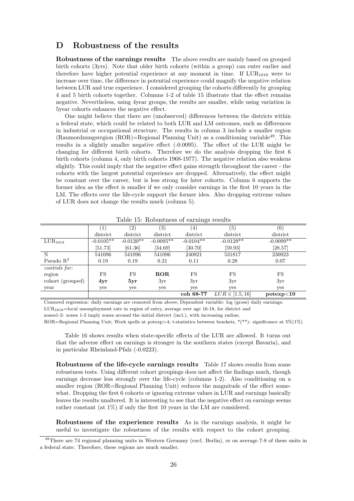## D Robustness of the results

Robustness of the earnings results The above results are mainly based on grouped birth cohorts (3yrs). Note that older birth cohorts (within a group) can enter earlier and therefore have higher potential experience at any moment in time. If  $LUR_{1618}$  were to increase over time, the difference in potential experience could magnify the negative relation between LUR and true experience. I considered grouping the cohorts differently by grouping 4 and 5 birth cohorts together. Columns 1-2 of table 15 illustrate that the effect remains negative. Nevertheless, using 4year groups, the results are smaller, while using variation in 5year cohorts enhances the negative effect.

One might believe that there are (unobserved) differences between the districts within a federal state, which could be related to both LUR and LM outcomes, such as differences in industrial or occupational structure. The results in column 3 include a smaller region (Raumordnungsregion  $(ROR)$ =Regional Planning Unit) as a conditioning variable<sup>49</sup>. This results in a slightly smaller negative effect (-0.0095). The effect of the LUR might be changing for different birth cohorts. Therefore we do the analysis dropping the first 6 birth cohorts (column 4, only birth cohorts 1968-1977). The negative relation also weakens slightly. This could imply that the negative effect gains strength throughout the career - the cohorts with the largest potential experience are dropped. Alternatively, the effect might be constant over the career, but is less strong for later cohorts. Column 6 supports the former idea as the effect is smaller if we only consider earnings in the first 10 years in the LM. The effects over the life-cycle support the former idea. Also dropping extreme values of LUR does not change the results much (column 5).

|                  |                      |             |             | -೧~              |                     |                   |
|------------------|----------------------|-------------|-------------|------------------|---------------------|-------------------|
|                  | $\left(1\right)$     | (2)         | (3)         | $\left(4\right)$ | $\left( 5\right)$   | $\left( 6\right)$ |
|                  | district             | district    | district    | district         | district            | district          |
| $LUR_{1618}$     | $-0.0105**$          | $-0.0120**$ | $-0.0095**$ | $-0.0104**$      | $-0.0129**$         | $-0.0099**$       |
|                  | $\left[51.73\right]$ | [61.36]     | [34.69]     | [30.70]          | [59.93]             | [28.57]           |
| N                | 541096               | 541096      | 541096      | 240821           | 531817              | 230923            |
| Pseudo $R^2$     | 0.19                 | 0.19        | 0.21        | 0.11             | 0.28                | 0.07              |
| controls for:    |                      |             |             |                  |                     |                   |
| region           | FS                   | FS          | ROR         | <b>FS</b>        | FS                  | FS                |
| cohort (grouped) | 4yr                  | 5yr         | 3yr         | 3yr              | 3yr                 | 3yr               |
| year             | yes                  | yes         | yes         | yes              | yes                 | yes               |
|                  |                      |             |             | coh 68-77        | $LUR \in [1.5, 16]$ | potexp<10         |

Table 15: Robustness of earnings results

Censored regression: daily earnings are censored from above; Dependent variable: log (gross) daily earnings;  $LUR<sub>1618</sub>=$ local unemployment rate in region of entry, average over age 16-18, for district and

zones1-3: zones 1-3 imply zones around the initial district (incl.), with increasing radius;

ROR=Regional Planning Unit; Work spells at potexp>4; t-statistics between brackets, \*(\*\*): significance at 5%(1%)

Table 16 shows results when state-specific effects of the LUR are allowed. It turns out that the adverse effect on earnings is stronger in the southern states (except Bavaria), and in particular Rheinland-Pfalz (-0.0223).

Robustness of the life-cycle earnings results Table 17 shows results from some robustness tests. Using different cohort groupings does not affect the findings much, though earnings decrease less strongly over the life-cycle (columns 1-2). Also conditioning on a smaller region (ROR=Regional Planning Unit) reduces the magnitude of the effect somewhat. Dropping the first 6 cohorts or ignoring extreme values in LUR and earnings basically leaves the results unaltered. It is interesting to see that the negative effect on earnings seems rather constant (at 1%) if only the first 10 years in the LM are considered.

Robustness of the experience results As in the earnings analysis, it might be useful to investigate the robustness of the results with respect to the cohort grouping.

<sup>&</sup>lt;sup>49</sup>There are 74 regional planning units in Western Germany (excl. Berlin), or on average 7-8 of these units in a federal state. Therefore, these regions are much smaller.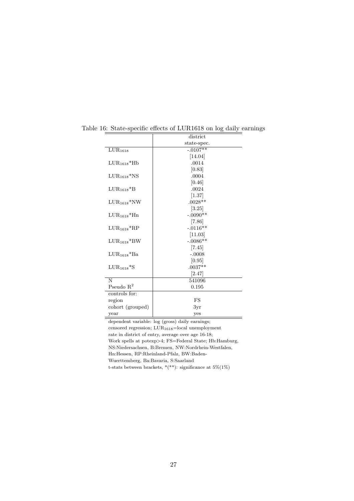|                                        | district    |
|----------------------------------------|-------------|
|                                        | state-spec. |
| $\overline{\text{L}} \text{UR}_{1618}$ | $-.0107**$  |
|                                        | [14.04]     |
| $LUR_{1618}$ *Hb                       | .0014       |
|                                        | [0.83]      |
| $LUR_{1618}$ *NS                       | .0004       |
|                                        | [0.46]      |
| $LUR_{1618}$ <sup>*</sup> B            | .0024       |
|                                        | $[1.37]$    |
| $LUR_{1618}$ *NW                       | $.0028**$   |
|                                        | [3.25]      |
| $LUR_{1618}$ <sup>*</sup> Hn           | $-.0090**$  |
|                                        | [7.86]      |
| $LUR_{1618}$ <sup>*</sup> RP           | $-.0116**$  |
|                                        | [11.03]     |
| $LUR_{1618} * BW$                      | $-.0086**$  |
|                                        | [7.45]      |
| LUR1618*Ba                             | $-.0008$    |
|                                        | [0.95]      |
| $LUR_{1618}$ <sup>*</sup> S            | $.0037**$   |
|                                        | [2.47]      |
| N                                      | 541096      |
| Pseudo $R^2$                           | 0.195       |
| controls for:                          |             |
| region                                 | FS          |
| cohort (grouped)                       | 3yr         |
| year                                   | yes         |

Table 16: State-specific effects of LUR1618 on log daily earnings

dependent variable: log (gross) daily earnings; censored regression;  $\text{LUR}_{1618}\text{=} \text{local}$  unemployment rate in district of entry, average over age 16-18; Work spells at potexp>4; FS=Federal State; Hb:Hamburg, NS:Niedersachsen, B:Bremen, NW:Nordrhein-Westfalen, Hn:Hessen, RP:Rheinland-Pfalz, BW:Baden-Wuerttemberg, Ba:Bavaria, S:Saarland t-stats between brackets,  $^{\ast} (^{\ast\ast})$  : significance at  $5\% (1\%)$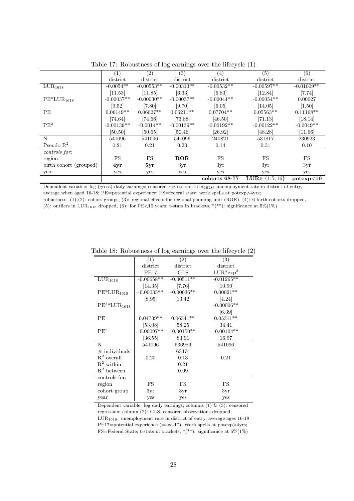|                        | (1)          | (2)          | $\overline{(3)}$ | $\left(4\right)$ | (5)                          | (6)          |
|------------------------|--------------|--------------|------------------|------------------|------------------------------|--------------|
|                        | district     | district     | district         | district         | district                     | district     |
| LUR <sub>1618</sub>    | $-0.0054**$  | $-0.00553**$ | $-0.00313**$     | $-0.00532**$     | $-0.00597**$                 | $-0.01009**$ |
|                        | [11.53]      | [11.85]      | [6.33]           | [6.83]           | [12.84]                      | [7.74]       |
| $PE*LUR_{1618}$        | $-0.00037**$ | $-0.00030**$ | $-0.00037**$     | $-0.00044**$     | $-0.00054**$                 | 0.00027      |
|                        | [9.52]       | [7.80]       | [9.70]           | [6.05]           | [14.05]                      | $[1.50]$     |
| PE                     | $0.06149**$  | $0.06027**$  | $0.06211**$      | $0.07704**$      | $0.05563**$                  | $0.11168**$  |
|                        | [74.64]      | [74.66]      | [73.88]          | [46.50]          | [71.13]                      | [18.14]      |
| $\rm{PE}^2$            | $-0.00139**$ | $-0.0014**$  | $-0.00139**$     | $-0.00192**$     | $-0.00122**$                 | $-0.0049**$  |
|                        | [50.50]      | [50.65]      | [50.46]          | [26.92]          | [48.28]                      | [11.66]      |
| N                      | 541096       | 541096       | 541096           | 240821           | 531817                       | 230923       |
| Pseudo $R^2$           | 0.21         | 0.21         | 0.23             | 0.14             | 0.31                         | 0.10         |
| controls for:          |              |              |                  |                  |                              |              |
| region                 | FS           | <b>FS</b>    | ROR              | <b>FS</b>        | FS                           | FS           |
| birth cohort (grouped) | 4yr          | 5yr          | 3yr              | 3yr              | 3yr                          | 3yr          |
| year                   | yes          | yes          | yes              | yes              | yes                          | yes          |
|                        |              |              |                  | cohorts 68-77    | <b>LUR</b> $\in \{1.5, 16\}$ | potexp<10    |

Table 17: Robustness of log earnings over the lifecycle (1)

Dependent variable: log (gross) daily earnings; censored regression; LUR<sub>1618</sub>: unemployment rate in district of entry, average when aged 16-18; PE=potential experience; FS=federal state; work spells at potexp>4yrs; robustness: (1)-(2): cohort groups, (3): regional effects for regional planning unit (ROR), (4): 6 birth cohorts dropped,

(5): outliers in LUR<sub>1618</sub> dropped, (6): for PE<10 years; t-stats in brackets, \*(\*\*): significance at 5%(1%)

|                                       | (1)                  | $\overline{(2)}$          | (3)          |
|---------------------------------------|----------------------|---------------------------|--------------|
|                                       | district             | district                  | district     |
|                                       | PE17                 | <b>GLS</b>                | $LUR*exp2$   |
| $\overline{\text{L}}\text{UR}_{1618}$ | $-0.00658$ **        | $-0.00511**$              | $-0.01265**$ |
|                                       | $[14.35]$            | [7.76]                    | [10.90]      |
| $PE*LUR1618$                          |                      | $-0.00035**$ $-0.00036**$ | $0.00021**$  |
|                                       | [8.95]               | [13.42]                   | [4.24]       |
| $PE^2*LUR_{1618}$                     |                      |                           | $-0.00006**$ |
|                                       |                      |                           | [6.39]       |
| PE                                    | $0.04739**$          | $0.06541**$               | $0.05311**$  |
|                                       | [53.08]              | [58.25]                   | [34.41]      |
| PE <sup>2</sup>                       | $-0.00097**$         | $-0.00150**$              | $-0.00104**$ |
|                                       | $\left[36.55\right]$ | [83.91]                   | $[16.97]$    |
| N                                     | 541096               | 536986                    | 541096       |
| $\#$ individuals                      |                      | 63474                     |              |
| $R^2$ overall                         | 0.20                 | 0.13                      | 0.21         |
| $R^2$ within                          |                      | 0.21                      |              |
| $R^2$ between                         |                      | 0.09                      |              |
| controls for:                         |                      |                           |              |
| region                                | FS                   | FS                        | FS           |
| cohort group                          | 3yr                  | 3yr                       | 3yr          |
| year                                  | yes                  | yes                       | yes          |

Table 18: Robustness of log earnings over the lifecycle (2)

Dependent variable: log daily earnings; columns (1) & (3): censored regression; column (2): GLS, censored observations dropped;  $\text{LUR}_{1618}$ : unemployment rate in district of entry, average ages 16-18 PE17=potential experience (=age-17); Work spells at potexp>4yrs; FS=Federal State; t-stats in brackets, \*(\*\*): significance at  $5\% (1\%)$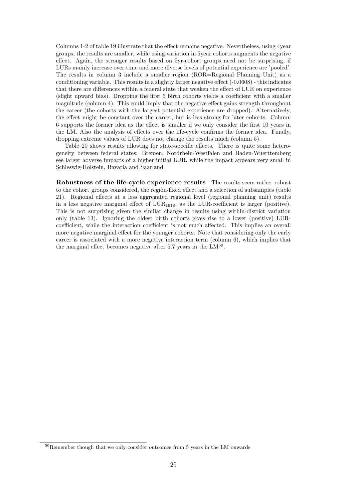Columns 1-2 of table 19 illustrate that the effect remains negative. Nevertheless, using 4year groups, the results are smaller, while using variation in 5year cohorts augments the negative effect. Again, the stronger results based on 5yr-cohort groups need not be surprising, if LURs mainly increase over time and more diverse levels of potential experience are 'pooled'. The results in column 3 include a smaller region (ROR=Regional Planning Unit) as a conditioning variable. This results in a slightly larger negative effect (-0.0608) - this indicates that there are differences within a federal state that weaken the effect of LUR on experience (slight upward bias). Dropping the first 6 birth cohorts yields a coefficient with a smaller magnitude (column 4). This could imply that the negative effect gains strength throughout the career (the cohorts with the largest potential experience are dropped). Alternatively, the effect might be constant over the career, but is less strong for later cohorts. Column 6 supports the former idea as the effect is smaller if we only consider the first 10 years in the LM. Also the analysis of effects over the life-cycle confirms the former idea. Finally, dropping extreme values of LUR does not change the results much (column 5).

Table 20 shows results allowing for state-specific effects. There is quite some heterogeneity between federal states: Bremen, Nordrhein-Westfalen and Baden-Wuerttemberg see larger adverse impacts of a higher initial LUR, while the impact appears very small in Schleswig-Holstein, Bavaria and Saarland.

Robustness of the life-cycle experience results The results seem rather robust to the cohort groups considered, the region-fixed effect and a selection of subsamples (table 21). Regional effects at a less aggregated regional level (regional planning unit) results in a less negative marginal effect of  $LUR_{1618}$ , as the LUR-coefficient is larger (positive). This is not surprising given the similar change in results using within-district variation only (table 13). Ignoring the oldest birth cohorts gives rise to a lower (positive) LURcoefficient, while the interaction coefficient is not much affected. This implies an overall more negative marginal effect for the younger cohorts. Note that considering only the early career is associated with a more negative interaction term (column 6), which implies that the marginal effect becomes negative after 5.7 years in the  $LM^{50}$ .

<sup>50</sup>Remember though that we only consider outcomes from 5 years in the LM onwards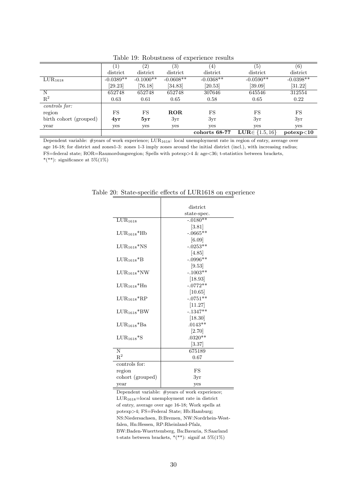|                        |             | (2)         | $\left( 3\right)$ | $\left(4\right)$ | (5)                          | (6)         |
|------------------------|-------------|-------------|-------------------|------------------|------------------------------|-------------|
|                        | district    | district    | district          | district         | district                     | district    |
| $LUR_{1618}$           | $-0.0389**$ | $-0.1000**$ | $-0.0608**$       | $-0.0368**$      | $-0.0590**$                  | $-0.0398**$ |
|                        | [29.23]     | [76.18]     | [34.83]           | [20.53]          | [39.09]                      | [31.22]     |
| N                      | 652748      | 652748      | 652748            | 307646           | 645546                       | 312554      |
| $R^2$                  | 0.63        | 0.61        | 0.65              | 0.58             | 0.65                         | 0.22        |
| controls for:          |             |             |                   |                  |                              |             |
| region                 | FS          | FS          | <b>ROR</b>        | FS               | FS                           | <b>FS</b>   |
| birth cohort (grouped) | 4yr         | 5yr         | 3yr               | 3yr              | 3yr                          | 3yr         |
| year                   | yes         | yes         | yes               | yes              | yes                          | yes         |
|                        |             |             |                   | cohorts 68-77    | <b>LUR</b> $\in \{1.5, 16\}$ | potexp<10   |

Table 19: Robustness of experience results

Dependent variable: #years of work experience; LUR1618: local unemployment rate in region of entry, average over age 16-18; for district and zones1-3: zones 1-3 imply zones around the initial district (incl.), with increasing radius; FS=federal state; ROR=Raumordungsregion; Spells with potexp>4 & age<36; t-statistics between brackets, \*(\*\*): significance at  $5\%(1\%)$ 

|                             | district    |
|-----------------------------|-------------|
|                             | state-spec. |
| LUR <sub>1618</sub>         | $-.0180**$  |
|                             | [3.81]      |
| $LUR_{1618}$ *Hb            | $-.0665**$  |
|                             | [6.09]      |
| $LUR_{1618}$ *NS            | $-.0253**$  |
|                             | [4.85]      |
| $LUR_{1618}$ <sup>*</sup> B | $-.0996**$  |
|                             | [9.53]      |
| $LUR_{1618} * NW$           | $-.1003**$  |
|                             | [18.93]     |
| $LUR_{1618}$ *Hn            | $-.0772**$  |
|                             | [10.65]     |
| $LUR_{1618}$ *RP            | $-.0751**$  |
|                             | [11.27]     |
| $LUR_{1618} * BW$           | $-.1347**$  |
|                             | [18.30]     |
| $LUR_{1618}$ *Ba            | $.0143**$   |
|                             | [2.70]      |
| $LUR_{1618}$ *S             | $.0320**$   |
|                             | [3.37]      |
| N                           | 675189      |
| $R^2$                       | 0.67        |
| controls for:               |             |
| region                      | FS          |
| cohort (grouped)            | 3yr         |
| year                        | yes         |

Table 20: State-specific effects of LUR1618 on experience

Dependent variable: #years of work experience; LUR1618=local unemployment rate in district of entry, average over age 16-18; Work spells at potexp>4; FS=Federal State; Hb:Hamburg; NS:Niedersachsen, B:Bremen, NW:Nordrhein-Westfalen, Hn:Hessen, RP:Rheinland-Pfalz, BW:Baden-Wuerttemberg, Ba:Bavaria, S:Saarland t-stats between brackets,  $*(**)$ : signif at  $5\%(1\%)$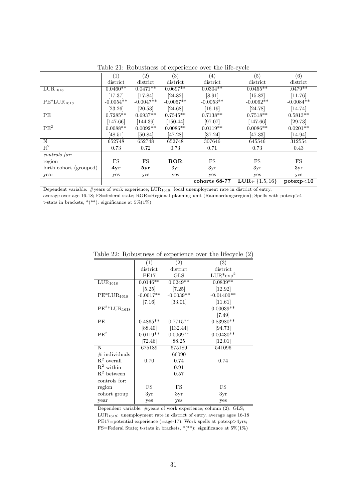|                                       | (1)           | (2)                    | (3)         | (4)           | (5)                          | (6)         |
|---------------------------------------|---------------|------------------------|-------------|---------------|------------------------------|-------------|
|                                       | district      | district               | district    | district      | district                     | district    |
| $\overline{\text{L}}\text{UR}_{1618}$ | $0.0460**$    | $0.04\overline{71***}$ | $0.0697**$  | $0.0304**$    | $0.0455**$                   | $.0479**$   |
|                                       | [17.37]       | [17.84]                | [24.82]     | [8.91]        | [15.82]                      | [11.76]     |
| $PE*LUR_{1618}$                       | $-0.0054**$   | $-0.0047**$            | $-0.0057**$ | $-0.0053**$   | $-0.0062**$                  | $-0.0084**$ |
|                                       | $[23.26]$     | [20.53]                | [24.68]     | [16.19]       | [24.78]                      | [14.74]     |
| PE                                    | $0.7285**$    | $0.6937**$             | $0.7545**$  | $0.7138**$    | $0.7518**$                   | $0.5813**$  |
|                                       | [147.66]      | [144.39]               | [150.44]    | [97.07]       | [147.66]                     | [29.73]     |
| $\mbox{PE}^2$                         | $0.0088^{**}$ | $0.0092**$             | $0.0086**$  | $0.0119**$    | $0.0086^{\ast\ast}$          | $0.0201**$  |
|                                       | [48.51]       | [50.84]                | [47.28]     | [37.24]       | [47.33]                      | [14.94]     |
| N                                     | 652748        | 652748                 | 652748      | 307646        | 645546                       | 312554      |
| $\mathbf{R}^2$                        | 0.73          | 0.72                   | 0.73        | 0.71          | 0.73                         | 0.43        |
| controls for:                         |               |                        |             |               |                              |             |
| region                                | FS            | FS                     | ROR         | FS            | <b>FS</b>                    | FS          |
| birth cohort (grouped)                | 4yr           | 5yr                    | 3yr         | 3yr           | 3yr                          | 3yr         |
| year                                  | yes           | yes                    | yes         | yes           | yes                          | yes         |
|                                       |               |                        |             | cohorts 68-77 | <b>LUR</b> $\in \{1.5, 16\}$ | potexp<10   |

Table 21: Robustness of experience over the life-cycle

Dependent variable: #years of work experience;  $LUR_{1618}$ : local unemployment rate in district of entry, average over age 16-18; FS=federal state; ROR=Regional planning unit (Raumordungsregion); Spells with potexp>4

t-stats in brackets,  $*(**)$ : significance at  $5\%(1\%)$ 

|                     | (1)                  | (2)         | (3)          |
|---------------------|----------------------|-------------|--------------|
|                     | district             | district    | district     |
|                     | PE17                 | <b>GLS</b>  | $LUR*exp2$   |
| LUR <sub>1618</sub> | $0.0146**$           | $0.0249**$  | $0.0839**$   |
|                     | [5.25]               | $[7.25]$    | $[12.92]$    |
| $PE*LUR1618$        | $-0.0017**$          | $-0.0039**$ | $-0.01400**$ |
|                     | $\left[7.16\right]$  | [33.01]     | [11.61]      |
| $PE^2*LUR_{1618}$   |                      |             | $0.00039**$  |
|                     |                      |             | $[7.49]$     |
| PЕ                  | $0.4865**$           | $0.7715**$  | $0.83980**$  |
|                     | [88.40]              | [132.44]    | [94.73]      |
| PE <sup>2</sup>     | $0.0119**$           | $0.0069**$  | $0.00430**$  |
|                     | $\left[72.46\right]$ | [88.25]     | [12.01]      |
| N                   | 675189               | 675189      | 541096       |
| $\#$ individuals    |                      | 66090       |              |
| $R^2$ overall       | 0.70                 | 0.74        | 0.74         |
| $R^2$ within        |                      | 0.91        |              |
| $R^2$ between       |                      | 0.57        |              |
| controls for:       |                      |             |              |
| region              | FS                   | FS          | FS           |
| cohort group        | 3yr                  | 3yr         | 3yr          |
| year                | yes                  | yes         | yes          |

Table 22: Robustness of experience over the lifecycle (2)

Dependent variable: #years of work experience; column (2): GLS;  $\text{LUR}_{1618}:$  unemployment rate in district of entry, average ages  $16\text{-}18$ PE17=potential experience (=age-17); Work spells at potexp>4yrs; FS=Federal State; t-stats in brackets,  $*(**)$ : significance at  $5\%(1\%)$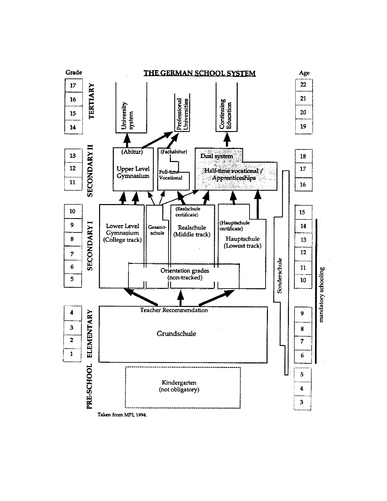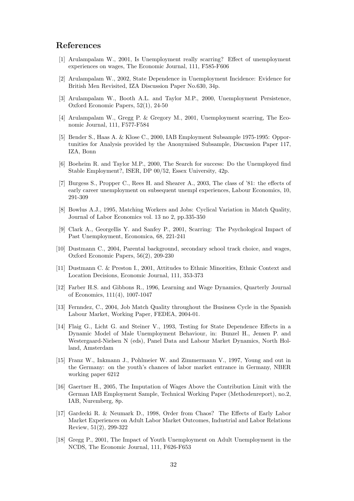## References

- [1] Arulampalam W., 2001, Is Unemployment really scarring? Effect of unemployment experiences on wages, The Economic Journal, 111, F585-F606
- [2] Arulampalam W., 2002, State Dependence in Unemployment Incidence: Evidence for British Men Revisited, IZA Discussion Paper No.630, 34p.
- [3] Arulampalam W., Booth A.L. and Taylor M.P., 2000, Unemployment Persistence, Oxford Economic Papers, 52(1), 24-50
- [4] Arulampalam W., Gregg P. & Gregory M., 2001, Unemployment scarring, The Economic Journal, 111, F577-F584
- [5] Bender S., Haas A. & Klose C., 2000, IAB Employment Subsample 1975-1995: Opportunities for Analysis provided by the Anonymised Subsample, Discussion Paper 117, IZA, Bonn
- [6] Boeheim R. and Taylor M.P., 2000, The Search for success: Do the Unemployed find Stable Employment?, ISER, DP 00/52, Essex University, 42p.
- [7] Burgess S., Propper C., Rees H. and Shearer A., 2003, The class of '81: the effects of early career unemployment on subsequent unempl experiences, Labour Economics, 10, 291-309
- [8] Bowlus A.J., 1995, Matching Workers and Jobs: Cyclical Variation in Match Quality, Journal of Labor Economics vol. 13 no 2, pp.335-350
- [9] Clark A., Georgellis Y. and Sanfey P., 2001, Scarring: The Psychological Impact of Past Unemployment, Economica, 68, 221-241
- [10] Dustmann C., 2004, Parental background, secondary school track choice, and wages, Oxford Economic Papers, 56(2), 209-230
- [11] Dustmann C. & Preston I., 2001, Attitudes to Ethnic Minorities, Ethnic Context and Location Decisions, Economic Journal, 111, 353-373
- [12] Farber H.S. and Gibbons R., 1996, Learning and Wage Dynamics, Quarterly Journal of Economics, 111(4), 1007-1047
- [13] Fernndez, C., 2004, Job Match Quality throughout the Business Cycle in the Spanish Labour Market, Working Paper, FEDEA, 2004-01.
- [14] Flaig G., Licht G. and Steiner V., 1993, Testing for State Dependence Effects in a Dynamic Model of Male Unemployment Behaviour, in: Bunzel H., Jensen P. and Westergaard-Nielsen N (eds), Panel Data and Labour Market Dynamics, North Holland, Amsterdam
- [15] Franz W., Inkmann J., Pohlmeier W. and Zimmermann V., 1997, Young and out in the Germany: on the youth's chances of labor market entrance in Germany, NBER working paper 6212
- [16] Gaertner H., 2005, The Imputation of Wages Above the Contribution Limit with the German IAB Employment Sample, Technical Working Paper (Methodenreport), no.2, IAB, Nuremberg, 8p.
- [17] Gardecki R. & Neumark D., 1998, Order from Chaos? The Effects of Early Labor Market Experiences on Adult Labor Market Outcomes, Industrial and Labor Relations Review, 51(2), 299-322
- [18] Gregg P., 2001, The Impact of Youth Unemployment on Adult Unemployment in the NCDS, The Economic Journal, 111, F626-F653